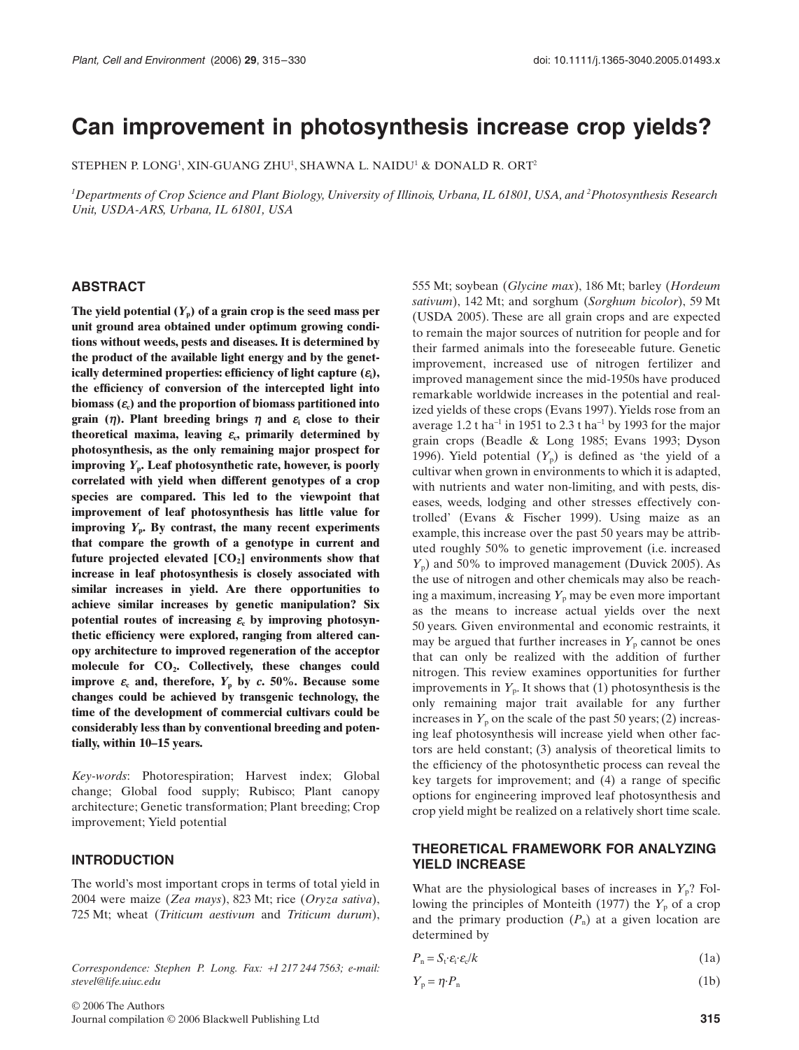# **Can improvement in photosynthesis increase crop yields?**

STEPHEN P. LONG $^{\rm l}$ , XIN-GUANG ZHU $^{\rm l}$ , SHAWNA L. NAIDU $^{\rm l}$  & DONALD R. ORT $^{\rm 2}$ 

*1 Departments of Crop Science and Plant Biology, University of Illinois, Urbana, IL 61801, USA, and 2 Photosynthesis Research Unit, USDA-ARS, Urbana, IL 61801, USA*

#### **ABSTRACT**

The yield potential  $(Y_p)$  of a grain crop is the seed mass per **unit ground area obtained under optimum growing conditions without weeds, pests and diseases. It is determined by the product of the available light energy and by the genet**ically determined properties: efficiency of light capture  $(\varepsilon_i)$ , **the efficiency of conversion of the intercepted light into biomass**  $(\varepsilon_c)$  **and the proportion of biomass partitioned into grain** ( $\eta$ ). Plant breeding brings  $\eta$  and  $\varepsilon_i$  close to their theoretical maxima, leaving  $\varepsilon_c$ , primarily determined by **photosynthesis, as the only remaining major prospect for improving** *Y***p. Leaf photosynthetic rate, however, is poorly correlated with yield when different genotypes of a crop species are compared. This led to the viewpoint that improvement of leaf photosynthesis has little value for improving**  $Y_p$ **.** By contrast, the many recent experiments **that compare the growth of a genotype in current and** future projected elevated [CO<sub>2</sub>] environments show that **increase in leaf photosynthesis is closely associated with similar increases in yield. Are there opportunities to achieve similar increases by genetic manipulation? Six** potential routes of increasing  $\varepsilon_c$  by improving photosyn**thetic efficiency were explored, ranging from altered canopy architecture to improved regeneration of the acceptor molecule for CO2. Collectively, these changes could improve**  $\varepsilon_c$  **and, therefore,**  $Y_p$  **by**  $c$ **. 50%. Because some changes could be achieved by transgenic technology, the time of the development of commercial cultivars could be considerably less than by conventional breeding and potentially, within 10–15 years.**

*Key-words*: Photorespiration; Harvest index; Global change; Global food supply; Rubisco; Plant canopy architecture; Genetic transformation; Plant breeding; Crop improvement; Yield potential

#### **INTRODUCTION**

The world's most important crops in terms of total yield in 2004 were maize (*Zea mays*), 823 Mt; rice (*Oryza sativa*), 725 Mt; wheat (*Triticum aestivum* and *Triticum durum*),

*Correspondence: Stephen P. Long. Fax:* +*1 217 244 7563; e-mail: stevel@life.uiuc.edu*

555 Mt; soybean (*Glycine max*), 186 Mt; barley (*Hordeum sativum*), 142 Mt; and sorghum (*Sorghum bicolor*), 59 Mt (USDA 2005). These are all grain crops and are expected to remain the major sources of nutrition for people and for their farmed animals into the foreseeable future. Genetic improvement, increased use of nitrogen fertilizer and improved management since the mid-1950s have produced remarkable worldwide increases in the potential and realized yields of these crops (Evans 1997). Yields rose from an average 1.2 t ha<sup>-1</sup> in 1951 to 2.3 t ha<sup>-1</sup> by 1993 for the major grain crops (Beadle & Long 1985; Evans 1993; Dyson 1996). Yield potential  $(Y_p)$  is defined as 'the yield of a cultivar when grown in environments to which it is adapted, with nutrients and water non-limiting, and with pests, diseases, weeds, lodging and other stresses effectively controlled' (Evans & Fischer 1999). Using maize as an example, this increase over the past 50 years may be attributed roughly 50% to genetic improvement (i.e. increased *Y*<sub>p</sub>) and 50% to improved management (Duvick 2005). As the use of nitrogen and other chemicals may also be reaching a maximum, increasing  $Y_p$  may be even more important as the means to increase actual yields over the next 50 years. Given environmental and economic restraints, it may be argued that further increases in  $Y_p$  cannot be ones that can only be realized with the addition of further nitrogen. This review examines opportunities for further improvements in  $Y_p$ . It shows that (1) photosynthesis is the only remaining major trait available for any further increases in  $Y_p$  on the scale of the past 50 years; (2) increasing leaf photosynthesis will increase yield when other factors are held constant; (3) analysis of theoretical limits to the efficiency of the photosynthetic process can reveal the key targets for improvement; and (4) a range of specific options for engineering improved leaf photosynthesis and crop yield might be realized on a relatively short time scale.

## **THEORETICAL FRAMEWORK FOR ANALYZING YIELD INCREASE**

What are the physiological bases of increases in  $Y_p$ ? Following the principles of Monteith (1977) the  $Y_p$  of a crop and the primary production  $(P_n)$  at a given location are determined by

 $P_p = S_t \cdot \varepsilon_i \cdot \varepsilon_c / k$  (1a)

 $Y_p = \eta \cdot P_n$  (1b)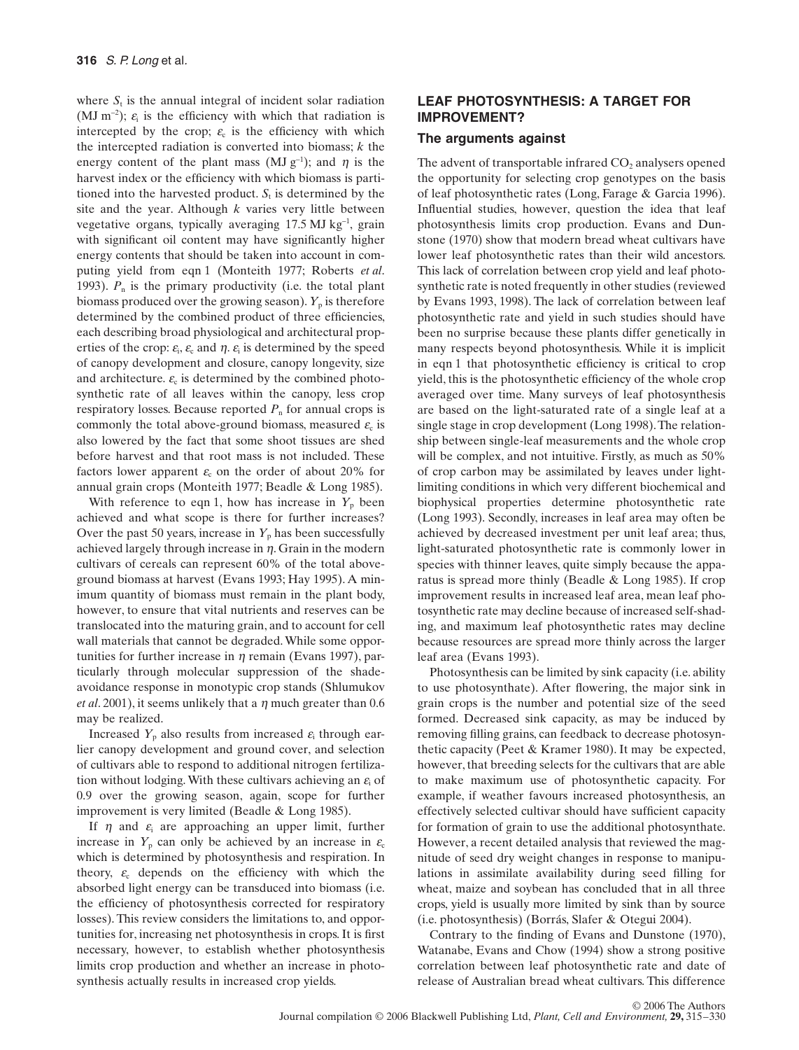where  $S_t$  is the annual integral of incident solar radiation (MJ m<sup>-2</sup>);  $\varepsilon$ <sub>i</sub> is the efficiency with which that radiation is intercepted by the crop;  $\varepsilon_c$  is the efficiency with which the intercepted radiation is converted into biomass; *k* the energy content of the plant mass (MJ  $g^{-1}$ ); and  $\eta$  is the harvest index or the efficiency with which biomass is partitioned into the harvested product.  $S_t$  is determined by the site and the year. Although *k* varies very little between vegetative organs, typically averaging 17.5 MJ kg<sup>-1</sup>, grain with significant oil content may have significantly higher energy contents that should be taken into account in computing yield from eqn 1 (Monteith 1977; Roberts *et al*. 1993).  $P_n$  is the primary productivity (i.e. the total plant biomass produced over the growing season).  $Y_p$  is therefore determined by the combined product of three efficiencies, each describing broad physiological and architectural properties of the crop:  $\varepsilon_i$ ,  $\varepsilon_c$  and  $\eta$ .  $\varepsilon_i$  is determined by the speed of canopy development and closure, canopy longevity, size and architecture.  $\varepsilon_c$  is determined by the combined photosynthetic rate of all leaves within the canopy, less crop respiratory losses. Because reported  $P_n$  for annual crops is commonly the total above-ground biomass, measured  $\varepsilon_c$  is also lowered by the fact that some shoot tissues are shed before harvest and that root mass is not included. These factors lower apparent  $\varepsilon_c$  on the order of about 20% for annual grain crops (Monteith 1977; Beadle & Long 1985).

With reference to eqn 1, how has increase in  $Y_p$  been achieved and what scope is there for further increases? Over the past 50 years, increase in  $Y_p$  has been successfully achieved largely through increase in  $\eta$ . Grain in the modern cultivars of cereals can represent 60% of the total aboveground biomass at harvest (Evans 1993; Hay 1995). A minimum quantity of biomass must remain in the plant body, however, to ensure that vital nutrients and reserves can be translocated into the maturing grain, and to account for cell wall materials that cannot be degraded. While some opportunities for further increase in  $\eta$  remain (Evans 1997), particularly through molecular suppression of the shadeavoidance response in monotypic crop stands (Shlumukov *et al.* 2001), it seems unlikely that a  $\eta$  much greater than 0.6 may be realized.

Increased  $Y_p$  also results from increased  $\varepsilon$ <sub>i</sub> through earlier canopy development and ground cover, and selection of cultivars able to respond to additional nitrogen fertilization without lodging. With these cultivars achieving an  $\varepsilon_i$  of 0.9 over the growing season, again, scope for further improvement is very limited (Beadle & Long 1985).

If  $\eta$  and  $\varepsilon$  are approaching an upper limit, further increase in  $Y_p$  can only be achieved by an increase in  $\varepsilon_c$ which is determined by photosynthesis and respiration. In theory,  $\varepsilon_c$  depends on the efficiency with which the absorbed light energy can be transduced into biomass (i.e. the efficiency of photosynthesis corrected for respiratory losses). This review considers the limitations to, and opportunities for, increasing net photosynthesis in crops. It is first necessary, however, to establish whether photosynthesis limits crop production and whether an increase in photosynthesis actually results in increased crop yields.

# **LEAF PHOTOSYNTHESIS: A TARGET FOR IMPROVEMENT?**

#### **The arguments against**

The advent of transportable infrared  $CO<sub>2</sub>$  analysers opened the opportunity for selecting crop genotypes on the basis of leaf photosynthetic rates (Long, Farage & Garcia 1996). Influential studies, however, question the idea that leaf photosynthesis limits crop production. Evans and Dunstone (1970) show that modern bread wheat cultivars have lower leaf photosynthetic rates than their wild ancestors. This lack of correlation between crop yield and leaf photosynthetic rate is noted frequently in other studies (reviewed by Evans 1993, 1998). The lack of correlation between leaf photosynthetic rate and yield in such studies should have been no surprise because these plants differ genetically in many respects beyond photosynthesis. While it is implicit in eqn 1 that photosynthetic efficiency is critical to crop yield, this is the photosynthetic efficiency of the whole crop averaged over time. Many surveys of leaf photosynthesis are based on the light-saturated rate of a single leaf at a single stage in crop development (Long 1998). The relationship between single-leaf measurements and the whole crop will be complex, and not intuitive. Firstly, as much as 50% of crop carbon may be assimilated by leaves under lightlimiting conditions in which very different biochemical and biophysical properties determine photosynthetic rate (Long 1993). Secondly, increases in leaf area may often be achieved by decreased investment per unit leaf area; thus, light-saturated photosynthetic rate is commonly lower in species with thinner leaves, quite simply because the apparatus is spread more thinly (Beadle & Long 1985). If crop improvement results in increased leaf area, mean leaf photosynthetic rate may decline because of increased self-shading, and maximum leaf photosynthetic rates may decline because resources are spread more thinly across the larger leaf area (Evans 1993).

Photosynthesis can be limited by sink capacity (i.e. ability to use photosynthate). After flowering, the major sink in grain crops is the number and potential size of the seed formed. Decreased sink capacity, as may be induced by removing filling grains, can feedback to decrease photosynthetic capacity (Peet & Kramer 1980). It may be expected, however, that breeding selects for the cultivars that are able to make maximum use of photosynthetic capacity. For example, if weather favours increased photosynthesis, an effectively selected cultivar should have sufficient capacity for formation of grain to use the additional photosynthate. However, a recent detailed analysis that reviewed the magnitude of seed dry weight changes in response to manipulations in assimilate availability during seed filling for wheat, maize and soybean has concluded that in all three crops, yield is usually more limited by sink than by source (i.e. photosynthesis) (Borrás, Slafer & Otegui 2004).

Contrary to the finding of Evans and Dunstone (1970), Watanabe, Evans and Chow (1994) show a strong positive correlation between leaf photosynthetic rate and date of release of Australian bread wheat cultivars. This difference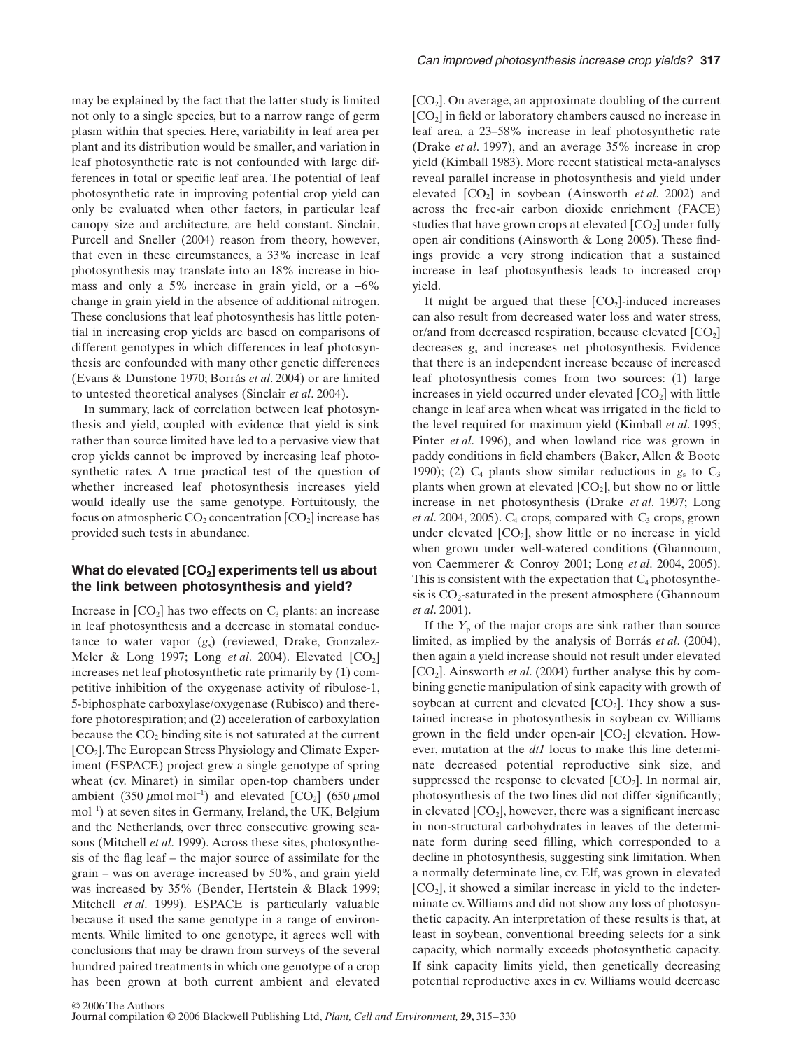may be explained by the fact that the latter study is limited not only to a single species, but to a narrow range of germ plasm within that species. Here, variability in leaf area per plant and its distribution would be smaller, and variation in leaf photosynthetic rate is not confounded with large differences in total or specific leaf area. The potential of leaf photosynthetic rate in improving potential crop yield can only be evaluated when other factors, in particular leaf canopy size and architecture, are held constant. Sinclair, Purcell and Sneller (2004) reason from theory, however, that even in these circumstances, a 33% increase in leaf photosynthesis may translate into an 18% increase in biomass and only a 5% increase in grain yield, or a −6% change in grain yield in the absence of additional nitrogen. These conclusions that leaf photosynthesis has little potential in increasing crop yields are based on comparisons of different genotypes in which differences in leaf photosynthesis are confounded with many other genetic differences (Evans & Dunstone 1970; Borrás *et al*. 2004) or are limited to untested theoretical analyses (Sinclair *et al*. 2004).

In summary, lack of correlation between leaf photosynthesis and yield, coupled with evidence that yield is sink rather than source limited have led to a pervasive view that crop yields cannot be improved by increasing leaf photosynthetic rates. A true practical test of the question of whether increased leaf photosynthesis increases yield would ideally use the same genotype. Fortuitously, the focus on atmospheric  $CO_2$  concentration  $[CO_2]$  increase has provided such tests in abundance.

## What do elevated [CO<sub>2</sub>] experiments tell us about **the link between photosynthesis and yield?**

Increase in  $[CO_2]$  has two effects on  $C_3$  plants: an increase in leaf photosynthesis and a decrease in stomatal conductance to water vapor (*g*s) (reviewed, Drake, Gonzalez-Meler & Long 1997; Long *et al.* 2004). Elevated [CO<sub>2</sub>] increases net leaf photosynthetic rate primarily by (1) competitive inhibition of the oxygenase activity of ribulose-1, 5-biphosphate carboxylase/oxygenase (Rubisco) and therefore photorespiration; and (2) acceleration of carboxylation because the  $CO<sub>2</sub>$  binding site is not saturated at the current [CO<sub>2</sub>]. The European Stress Physiology and Climate Experiment (ESPACE) project grew a single genotype of spring wheat (cv. Minaret) in similar open-top chambers under ambient (350  $\mu$ mol mol<sup>-1</sup>) and elevated [CO<sub>2</sub>] (650  $\mu$ mol mol<sup>−</sup><sup>1</sup> ) at seven sites in Germany, Ireland, the UK, Belgium and the Netherlands, over three consecutive growing seasons (Mitchell *et al*. 1999). Across these sites, photosynthesis of the flag leaf – the major source of assimilate for the grain – was on average increased by 50%, and grain yield was increased by 35% (Bender, Hertstein & Black 1999; Mitchell *et al*. 1999). ESPACE is particularly valuable because it used the same genotype in a range of environments. While limited to one genotype, it agrees well with conclusions that may be drawn from surveys of the several hundred paired treatments in which one genotype of a crop has been grown at both current ambient and elevated

 $[CO<sub>2</sub>]$ . On average, an approximate doubling of the current [CO2] in field or laboratory chambers caused no increase in leaf area, a 23–58% increase in leaf photosynthetic rate (Drake *et al*. 1997), and an average 35% increase in crop yield (Kimball 1983). More recent statistical meta-analyses reveal parallel increase in photosynthesis and yield under elevated  $[CO<sub>2</sub>]$  in soybean (Ainsworth *et al.* 2002) and across the free-air carbon dioxide enrichment (FACE) studies that have grown crops at elevated  $[CO<sub>2</sub>]$  under fully open air conditions (Ainsworth & Long 2005). These findings provide a very strong indication that a sustained increase in leaf photosynthesis leads to increased crop yield.

It might be argued that these  $[CO<sub>2</sub>]$ -induced increases can also result from decreased water loss and water stress, or/and from decreased respiration, because elevated  $[CO<sub>2</sub>]$ decreases *g*<sup>s</sup> and increases net photosynthesis. Evidence that there is an independent increase because of increased leaf photosynthesis comes from two sources: (1) large increases in yield occurred under elevated  $[CO<sub>2</sub>]$  with little change in leaf area when wheat was irrigated in the field to the level required for maximum yield (Kimball *et al*. 1995; Pinter *et al*. 1996), and when lowland rice was grown in paddy conditions in field chambers (Baker, Allen & Boote 1990); (2)  $C_4$  plants show similar reductions in  $g<sub>s</sub>$  to  $C_3$ plants when grown at elevated  $[CO_2]$ , but show no or little increase in net photosynthesis (Drake *et al*. 1997; Long *et al.* 2004, 2005).  $C_4$  crops, compared with  $C_3$  crops, grown under elevated  $[CO<sub>2</sub>]$ , show little or no increase in yield when grown under well-watered conditions (Ghannoum, von Caemmerer & Conroy 2001; Long *et al*. 2004, 2005). This is consistent with the expectation that  $C_4$  photosynthesis is  $CO_2$ -saturated in the present atmosphere (Ghannoum *et al*. 2001).

If the  $Y_p$  of the major crops are sink rather than source limited, as implied by the analysis of Borrás *et al*. (2004), then again a yield increase should not result under elevated [CO<sub>2</sub>]. Ainsworth *et al.* (2004) further analyse this by combining genetic manipulation of sink capacity with growth of soybean at current and elevated  $[CO<sub>2</sub>]$ . They show a sustained increase in photosynthesis in soybean cv. Williams grown in the field under open-air  $[CO<sub>2</sub>]$  elevation. However, mutation at the *dt1* locus to make this line determinate decreased potential reproductive sink size, and suppressed the response to elevated  $[CO<sub>2</sub>]$ . In normal air, photosynthesis of the two lines did not differ significantly; in elevated  $[CO_2]$ , however, there was a significant increase in non-structural carbohydrates in leaves of the determinate form during seed filling, which corresponded to a decline in photosynthesis, suggesting sink limitation. When a normally determinate line, cv. Elf, was grown in elevated  $[CO<sub>2</sub>]$ , it showed a similar increase in yield to the indeterminate cv. Williams and did not show any loss of photosynthetic capacity. An interpretation of these results is that, at least in soybean, conventional breeding selects for a sink capacity, which normally exceeds photosynthetic capacity. If sink capacity limits yield, then genetically decreasing potential reproductive axes in cv. Williams would decrease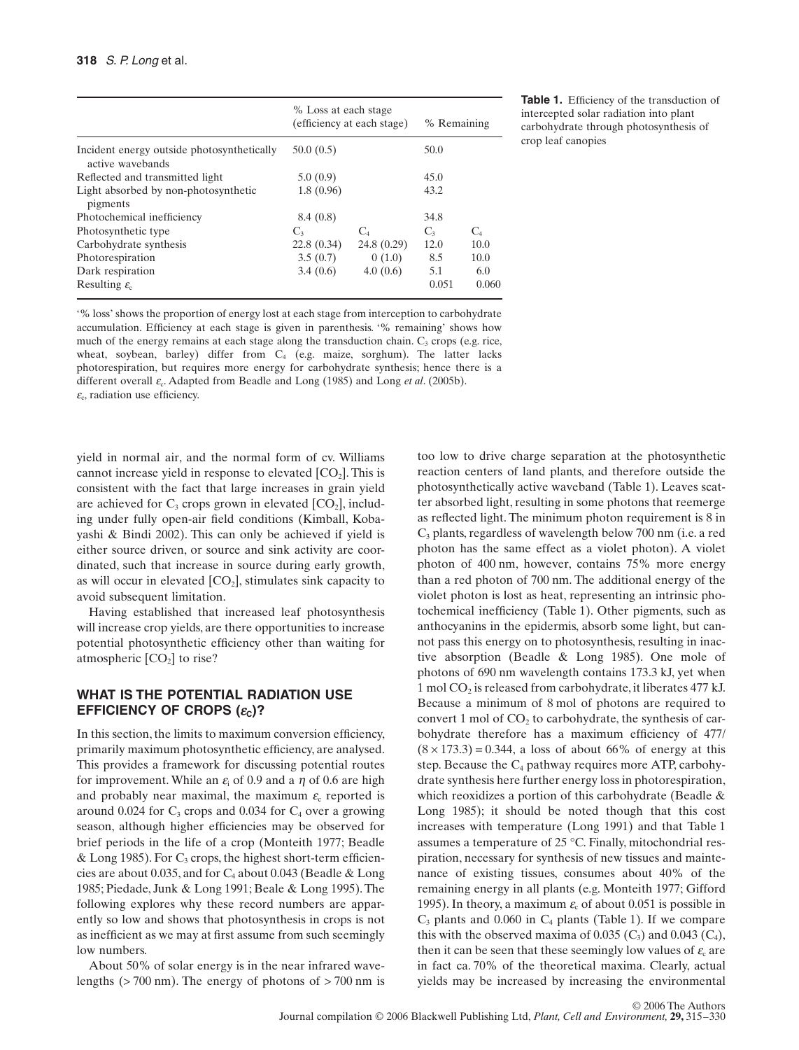|                                                                | % Loss at each stage<br>(efficiency at each stage) |            | % Remaining |         |
|----------------------------------------------------------------|----------------------------------------------------|------------|-------------|---------|
| Incident energy outside photosynthetically<br>active wavebands | 50.0(0.5)                                          |            | 50.0        |         |
| Reflected and transmitted light                                | 5.0(0.9)                                           |            | 45.0        |         |
| Light absorbed by non-photosynthetic<br>pigments               | 1.8(0.96)                                          |            | 43.2        |         |
| Photochemical inefficiency                                     | 8.4(0.8)                                           |            | 34.8        |         |
| Photosynthetic type                                            | $C_{3}$                                            | $C_{4}$    | $C_{3}$     | $C_{4}$ |
| Carbohydrate synthesis                                         | 22.8(0.34)                                         | 24.8(0.29) | 12.0        | 10.0    |
| Photorespiration                                               | 3.5(0.7)                                           | 0(1.0)     | 8.5         | 10.0    |
| Dark respiration                                               | 3.4(0.6)                                           | 4.0(0.6)   | 5.1         | 6.0     |
| Resulting $\varepsilon_c$                                      |                                                    |            | 0.051       | 0.060   |

**Table 1.** Efficiency of the transduction of intercepted solar radiation into plant carbohydrate through photosynthesis of crop leaf canopies

'% loss' shows the proportion of energy lost at each stage from interception to carbohydrate accumulation. Efficiency at each stage is given in parenthesis. '% remaining' shows how much of the energy remains at each stage along the transduction chain.  $C_3$  crops (e.g. rice, wheat, soybean, barley) differ from  $C_4$  (e.g. maize, sorghum). The latter lacks photorespiration, but requires more energy for carbohydrate synthesis; hence there is a different overall *ε*<sub>c</sub>. Adapted from Beadle and Long (1985) and Long *et al.* (2005b).  $\varepsilon_c$ , radiation use efficiency.

yield in normal air, and the normal form of cv. Williams cannot increase yield in response to elevated  $[CO<sub>2</sub>]$ . This is consistent with the fact that large increases in grain yield are achieved for  $C_3$  crops grown in elevated  $[CO_2]$ , including under fully open-air field conditions (Kimball, Kobayashi & Bindi 2002). This can only be achieved if yield is either source driven, or source and sink activity are coordinated, such that increase in source during early growth, as will occur in elevated  $[CO_2]$ , stimulates sink capacity to avoid subsequent limitation.

Having established that increased leaf photosynthesis will increase crop yields, are there opportunities to increase potential photosynthetic efficiency other than waiting for atmospheric  $[CO<sub>2</sub>]$  to rise?

# **WHAT IS THE POTENTIAL RADIATION USE EFFICIENCY OF CROPS**  $(\varepsilon_c)$ **?**

In this section, the limits to maximum conversion efficiency, primarily maximum photosynthetic efficiency, are analysed. This provides a framework for discussing potential routes for improvement. While an  $\varepsilon_i$  of 0.9 and a  $\eta$  of 0.6 are high and probably near maximal, the maximum  $\varepsilon_c$  reported is around 0.024 for  $C_3$  crops and 0.034 for  $C_4$  over a growing season, although higher efficiencies may be observed for brief periods in the life of a crop (Monteith 1977; Beadle & Long 1985). For  $C_3$  crops, the highest short-term efficiencies are about 0.035, and for  $C_4$  about 0.043 (Beadle & Long 1985; Piedade, Junk & Long 1991; Beale & Long 1995). The following explores why these record numbers are apparently so low and shows that photosynthesis in crops is not as inefficient as we may at first assume from such seemingly low numbers.

About 50% of solar energy is in the near infrared wavelengths  $(> 700 \text{ nm})$ . The energy of photons of  $> 700 \text{ nm}$  is too low to drive charge separation at the photosynthetic reaction centers of land plants, and therefore outside the photosynthetically active waveband (Table 1). Leaves scatter absorbed light, resulting in some photons that reemerge as reflected light. The minimum photon requirement is 8 in C3 plants, regardless of wavelength below 700 nm (i.e. a red photon has the same effect as a violet photon). A violet photon of 400 nm, however, contains 75% more energy than a red photon of 700 nm. The additional energy of the violet photon is lost as heat, representing an intrinsic photochemical inefficiency (Table 1). Other pigments, such as anthocyanins in the epidermis, absorb some light, but cannot pass this energy on to photosynthesis, resulting in inactive absorption (Beadle & Long 1985). One mole of photons of 690 nm wavelength contains 173.3 kJ, yet when 1 mol CO2 is released from carbohydrate, it liberates 477 kJ. Because a minimum of 8 mol of photons are required to convert 1 mol of  $CO<sub>2</sub>$  to carbohydrate, the synthesis of carbohydrate therefore has a maximum efficiency of 477/  $(8 \times 173.3) = 0.344$ , a loss of about 66% of energy at this step. Because the  $C_4$  pathway requires more ATP, carbohydrate synthesis here further energy loss in photorespiration, which reoxidizes a portion of this carbohydrate (Beadle & Long 1985); it should be noted though that this cost increases with temperature (Long 1991) and that Table 1 assumes a temperature of 25 °C. Finally, mitochondrial respiration, necessary for synthesis of new tissues and maintenance of existing tissues, consumes about 40% of the remaining energy in all plants (e.g. Monteith 1977; Gifford 1995). In theory, a maximum  $\varepsilon_c$  of about 0.051 is possible in  $C_3$  plants and 0.060 in  $C_4$  plants (Table 1). If we compare this with the observed maxima of 0.035  $(C_3)$  and 0.043  $(C_4)$ , then it can be seen that these seemingly low values of  $\varepsilon_c$  are in fact ca. 70% of the theoretical maxima. Clearly, actual yields may be increased by increasing the environmental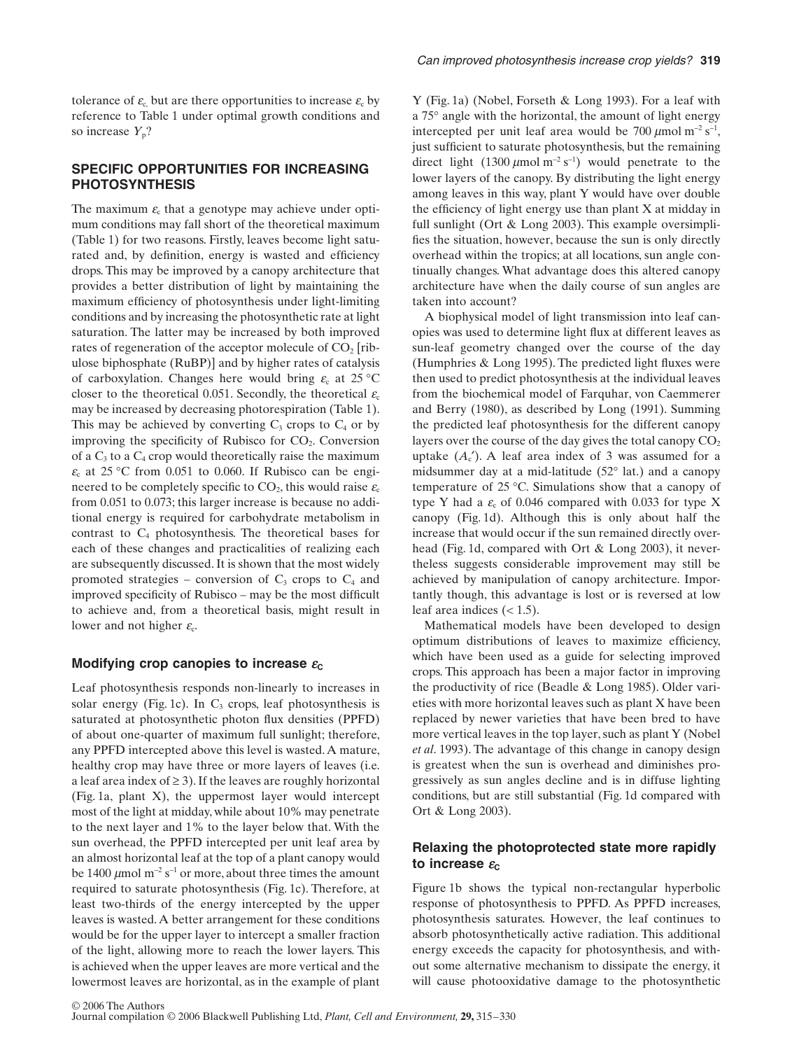tolerance of  $\varepsilon_c$  but are there opportunities to increase  $\varepsilon_c$  by reference to Table 1 under optimal growth conditions and so increase  $Y_p$ ?

## **SPECIFIC OPPORTUNITIES FOR INCREASING PHOTOSYNTHESIS**

The maximum  $\varepsilon_c$  that a genotype may achieve under optimum conditions may fall short of the theoretical maximum (Table 1) for two reasons. Firstly, leaves become light saturated and, by definition, energy is wasted and efficiency drops. This may be improved by a canopy architecture that provides a better distribution of light by maintaining the maximum efficiency of photosynthesis under light-limiting conditions and by increasing the photosynthetic rate at light saturation. The latter may be increased by both improved rates of regeneration of the acceptor molecule of  $CO<sub>2</sub>$  [ribulose biphosphate (RuBP)] and by higher rates of catalysis of carboxylation. Changes here would bring  $\varepsilon_c$  at 25 °C closer to the theoretical 0.051. Secondly, the theoretical  $\varepsilon_c$ may be increased by decreasing photorespiration (Table 1). This may be achieved by converting  $C_3$  crops to  $C_4$  or by improving the specificity of Rubisco for  $CO<sub>2</sub>$ . Conversion of a  $C_3$  to a  $C_4$  crop would theoretically raise the maximum  $\varepsilon_c$  at 25 °C from 0.051 to 0.060. If Rubisco can be engineered to be completely specific to  $CO<sub>2</sub>$ , this would raise  $\varepsilon_c$ from 0.051 to 0.073; this larger increase is because no additional energy is required for carbohydrate metabolism in contrast to  $C_4$  photosynthesis. The theoretical bases for each of these changes and practicalities of realizing each are subsequently discussed. It is shown that the most widely promoted strategies – conversion of  $C_3$  crops to  $C_4$  and improved specificity of Rubisco – may be the most difficult to achieve and, from a theoretical basis, might result in lower and not higher  $\varepsilon_c$ .

#### **Modifying crop canopies to increase**  $\varepsilon_c$

Leaf photosynthesis responds non-linearly to increases in solar energy (Fig. 1c). In  $C_3$  crops, leaf photosynthesis is saturated at photosynthetic photon flux densities (PPFD) of about one-quarter of maximum full sunlight; therefore, any PPFD intercepted above this level is wasted. A mature, healthy crop may have three or more layers of leaves (i.e. a leaf area index of  $\geq$  3). If the leaves are roughly horizontal (Fig. 1a, plant X), the uppermost layer would intercept most of the light at midday, while about 10% may penetrate to the next layer and 1% to the layer below that. With the sun overhead, the PPFD intercepted per unit leaf area by an almost horizontal leaf at the top of a plant canopy would be 1400  $\mu$ mol m<sup>-2</sup> s<sup>-1</sup> or more, about three times the amount required to saturate photosynthesis (Fig. 1c). Therefore, at least two-thirds of the energy intercepted by the upper leaves is wasted. A better arrangement for these conditions would be for the upper layer to intercept a smaller fraction of the light, allowing more to reach the lower layers. This is achieved when the upper leaves are more vertical and the lowermost leaves are horizontal, as in the example of plant Y (Fig. 1a) (Nobel, Forseth & Long 1993). For a leaf with a 75° angle with the horizontal, the amount of light energy intercepted per unit leaf area would be 700  $\mu$ mol m<sup>-2</sup> s<sup>-1</sup>, just sufficient to saturate photosynthesis, but the remaining direct light  $(1300 \mu \text{mol m}^{-2} \text{ s}^{-1})$  would penetrate to the lower layers of the canopy. By distributing the light energy among leaves in this way, plant Y would have over double the efficiency of light energy use than plant  $X$  at midday in full sunlight (Ort & Long 2003). This example oversimplifies the situation, however, because the sun is only directly overhead within the tropics; at all locations, sun angle continually changes. What advantage does this altered canopy architecture have when the daily course of sun angles are taken into account?

A biophysical model of light transmission into leaf canopies was used to determine light flux at different leaves as sun-leaf geometry changed over the course of the day (Humphries & Long 1995). The predicted light fluxes were then used to predict photosynthesis at the individual leaves from the biochemical model of Farquhar, von Caemmerer and Berry (1980), as described by Long (1991). Summing the predicted leaf photosynthesis for the different canopy layers over the course of the day gives the total canopy  $CO<sub>2</sub>$ uptake  $(A_c)$ . A leaf area index of 3 was assumed for a midsummer day at a mid-latitude (52° lat.) and a canopy temperature of 25 °C. Simulations show that a canopy of type Y had a  $\varepsilon_c$  of 0.046 compared with 0.033 for type X canopy (Fig. 1d). Although this is only about half the increase that would occur if the sun remained directly overhead (Fig. 1d, compared with Ort & Long 2003), it nevertheless suggests considerable improvement may still be achieved by manipulation of canopy architecture. Importantly though, this advantage is lost or is reversed at low leaf area indices  $(< 1.5)$ .

Mathematical models have been developed to design optimum distributions of leaves to maximize efficiency, which have been used as a guide for selecting improved crops. This approach has been a major factor in improving the productivity of rice (Beadle & Long 1985). Older varieties with more horizontal leaves such as plant X have been replaced by newer varieties that have been bred to have more vertical leaves in the top layer, such as plant Y (Nobel *et al*. 1993). The advantage of this change in canopy design is greatest when the sun is overhead and diminishes progressively as sun angles decline and is in diffuse lighting conditions, but are still substantial (Fig. 1d compared with Ort & Long 2003).

## **Relaxing the photoprotected state more rapidly**  to increase  $\varepsilon_c$

Figure 1b shows the typical non-rectangular hyperbolic response of photosynthesis to PPFD. As PPFD increases, photosynthesis saturates. However, the leaf continues to absorb photosynthetically active radiation. This additional energy exceeds the capacity for photosynthesis, and without some alternative mechanism to dissipate the energy, it will cause photooxidative damage to the photosynthetic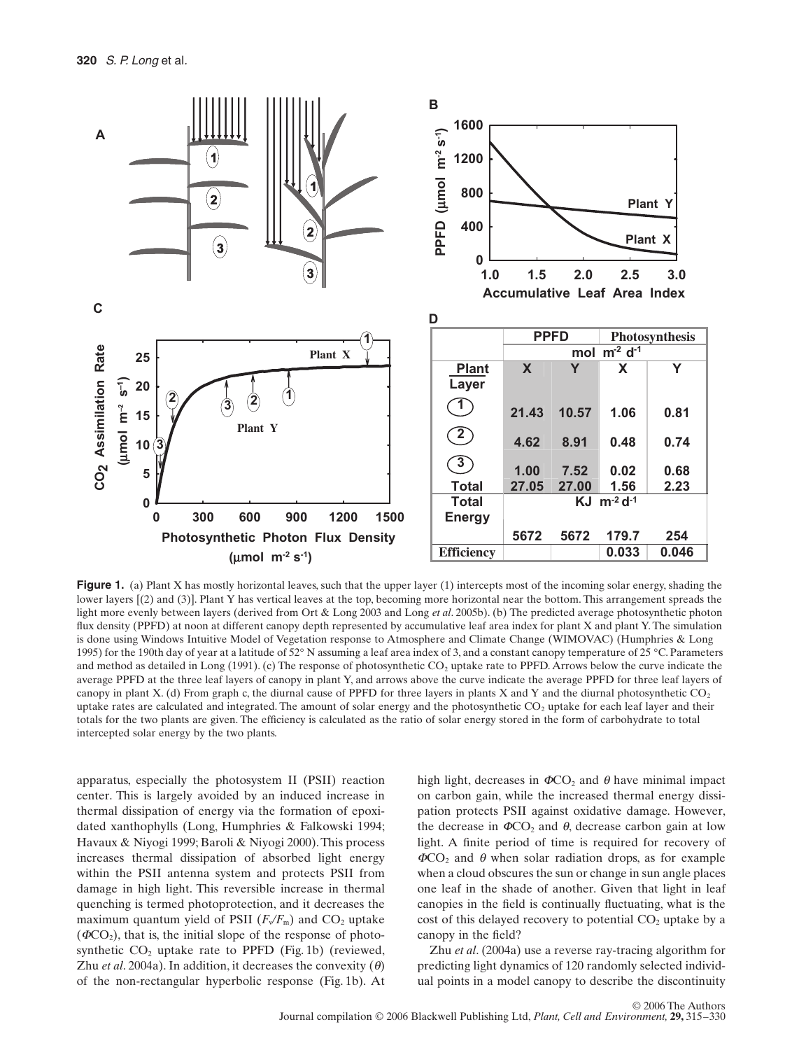

**Figure 1.** (a) Plant X has mostly horizontal leaves, such that the upper layer (1) intercepts most of the incoming solar energy, shading the lower layers  $(2)$  and  $(3)$ ]. Plant Y has vertical leaves at the top, becoming more horizontal near the bottom. This arrangement spreads the light more evenly between layers (derived from Ort & Long 2003 and Long *et al*. 2005b). (b) The predicted average photosynthetic photon flux density (PPFD) at noon at different canopy depth represented by accumulative leaf area index for plant X and plant Y. The simulation is done using Windows Intuitive Model of Vegetation response to Atmosphere and Climate Change (WIMOVAC) (Humphries & Long 1995) for the 190th day of year at a latitude of 52° N assuming a leaf area index of 3, and a constant canopy temperature of 25 °C. Parameters and method as detailed in Long (1991). (c) The response of photosynthetic  $CO<sub>2</sub>$  uptake rate to PPFD. Arrows below the curve indicate the average PPFD at the three leaf layers of canopy in plant Y, and arrows above the curve indicate the average PPFD for three leaf layers of canopy in plant X. (d) From graph c, the diurnal cause of PPFD for three layers in plants X and Y and the diurnal photosynthetic  $CO<sub>2</sub>$ uptake rates are calculated and integrated. The amount of solar energy and the photosynthetic  $CO<sub>2</sub>$  uptake for each leaf layer and their totals for the two plants are given. The efficiency is calculated as the ratio of solar energy stored in the form of carbohydrate to total intercepted solar energy by the two plants.

apparatus, especially the photosystem II (PSII) reaction center. This is largely avoided by an induced increase in thermal dissipation of energy via the formation of epoxidated xanthophylls (Long, Humphries & Falkowski 1994; Havaux & Niyogi 1999; Baroli & Niyogi 2000). This process increases thermal dissipation of absorbed light energy within the PSII antenna system and protects PSII from damage in high light. This reversible increase in thermal quenching is termed photoprotection, and it decreases the maximum quantum yield of PSII  $(F\sqrt{F_m})$  and CO<sub>2</sub> uptake  $(\Phi CO<sub>2</sub>)$ , that is, the initial slope of the response of photosynthetic  $CO<sub>2</sub>$  uptake rate to PPFD (Fig. 1b) (reviewed, Zhu *et al.* 2004a). In addition, it decreases the convexity  $(\theta)$ of the non-rectangular hyperbolic response (Fig. 1b). At

high light, decreases in  $\Phi$ CO<sub>2</sub> and  $\theta$  have minimal impact on carbon gain, while the increased thermal energy dissipation protects PSII against oxidative damage. However, the decrease in  $\Phi$ CO<sub>2</sub> and  $\theta$ , decrease carbon gain at low light. A finite period of time is required for recovery of  $\Phi$ CO<sub>2</sub> and  $\theta$  when solar radiation drops, as for example when a cloud obscures the sun or change in sun angle places one leaf in the shade of another. Given that light in leaf canopies in the field is continually fluctuating, what is the cost of this delayed recovery to potential  $CO<sub>2</sub>$  uptake by a canopy in the field?

Zhu *et al*. (2004a) use a reverse ray-tracing algorithm for predicting light dynamics of 120 randomly selected individual points in a model canopy to describe the discontinuity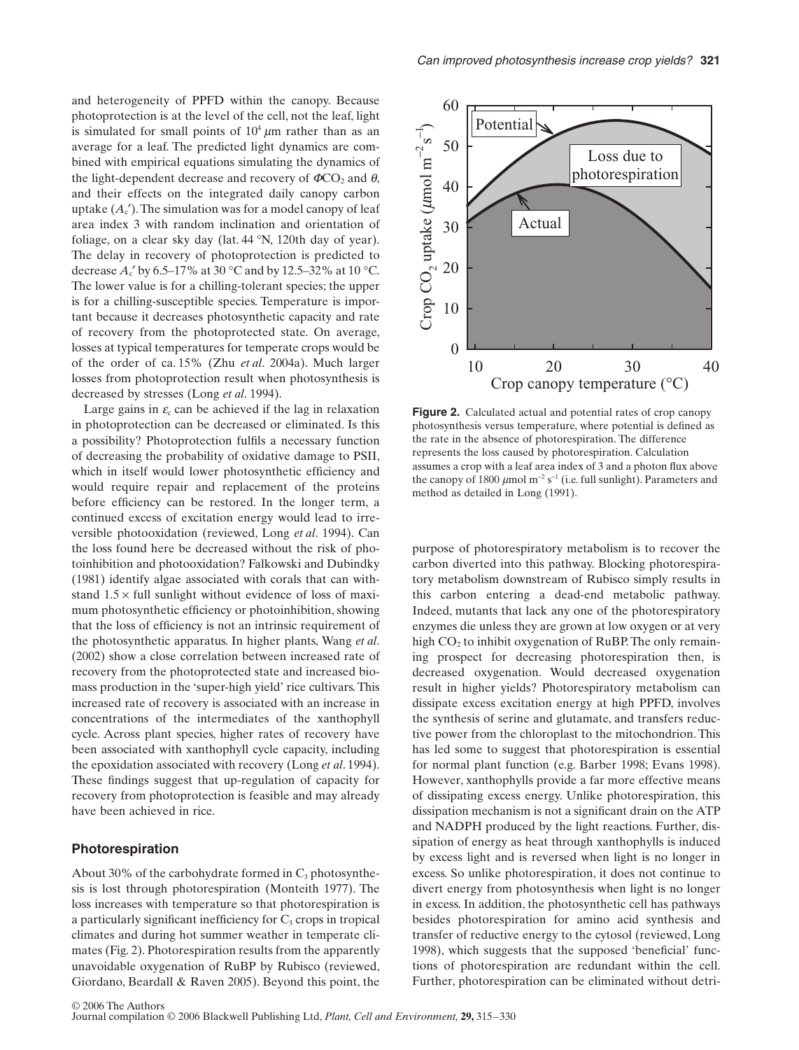and heterogeneity of PPFD within the canopy. Because photoprotection is at the level of the cell, not the leaf, light is simulated for small points of  $10<sup>4</sup> \mu m$  rather than as an average for a leaf. The predicted light dynamics are combined with empirical equations simulating the dynamics of the light-dependent decrease and recovery of  $\Phi$ CO<sub>2</sub> and  $\theta$ , and their effects on the integrated daily canopy carbon uptake  $(A_c)$ . The simulation was for a model canopy of leaf area index 3 with random inclination and orientation of foliage, on a clear sky day (lat. 44 °N, 120th day of year). The delay in recovery of photoprotection is predicted to decrease *A*c′ by 6.5–17% at 30 °C and by 12.5–32% at 10 °C. The lower value is for a chilling-tolerant species; the upper is for a chilling-susceptible species. Temperature is important because it decreases photosynthetic capacity and rate of recovery from the photoprotected state. On average, losses at typical temperatures for temperate crops would be of the order of ca. 15% (Zhu *et al*. 2004a). Much larger losses from photoprotection result when photosynthesis is decreased by stresses (Long *et al*. 1994).

Large gains in  $\varepsilon_c$  can be achieved if the lag in relaxation in photoprotection can be decreased or eliminated. Is this a possibility? Photoprotection fulfils a necessary function of decreasing the probability of oxidative damage to PSII, which in itself would lower photosynthetic efficiency and would require repair and replacement of the proteins before efficiency can be restored. In the longer term, a continued excess of excitation energy would lead to irreversible photooxidation (reviewed, Long *et al*. 1994). Can the loss found here be decreased without the risk of photoinhibition and photooxidation? Falkowski and Dubindky (1981) identify algae associated with corals that can withstand  $1.5 \times$  full sunlight without evidence of loss of maximum photosynthetic efficiency or photoinhibition, showing that the loss of efficiency is not an intrinsic requirement of the photosynthetic apparatus. In higher plants, Wang *et al*. (2002) show a close correlation between increased rate of recovery from the photoprotected state and increased biomass production in the 'super-high yield' rice cultivars. This increased rate of recovery is associated with an increase in concentrations of the intermediates of the xanthophyll cycle. Across plant species, higher rates of recovery have been associated with xanthophyll cycle capacity, including the epoxidation associated with recovery (Long *et al*. 1994). These findings suggest that up-regulation of capacity for recovery from photoprotection is feasible and may already have been achieved in rice.

#### **Photorespiration**

About 30% of the carbohydrate formed in  $C_3$  photosynthesis is lost through photorespiration (Monteith 1977). The loss increases with temperature so that photorespiration is a particularly significant inefficiency for  $C_3$  crops in tropical climates and during hot summer weather in temperate climates (Fig. 2). Photorespiration results from the apparently unavoidable oxygenation of RuBP by Rubisco (reviewed, Giordano, Beardall & Raven 2005). Beyond this point, the



**Figure 2.** Calculated actual and potential rates of crop canopy photosynthesis versus temperature, where potential is defined as the rate in the absence of photorespiration. The difference represents the loss caused by photorespiration. Calculation assumes a crop with a leaf area index of 3 and a photon flux above the canopy of 1800  $\mu$ mol m<sup>-2</sup> s<sup>-1</sup> (i.e. full sunlight). Parameters and method as detailed in Long (1991).

purpose of photorespiratory metabolism is to recover the carbon diverted into this pathway. Blocking photorespiratory metabolism downstream of Rubisco simply results in this carbon entering a dead-end metabolic pathway. Indeed, mutants that lack any one of the photorespiratory enzymes die unless they are grown at low oxygen or at very high CO<sub>2</sub> to inhibit oxygenation of RuBP. The only remaining prospect for decreasing photorespiration then, is decreased oxygenation. Would decreased oxygenation result in higher yields? Photorespiratory metabolism can dissipate excess excitation energy at high PPFD, involves the synthesis of serine and glutamate, and transfers reductive power from the chloroplast to the mitochondrion. This has led some to suggest that photorespiration is essential for normal plant function (e.g. Barber 1998; Evans 1998). However, xanthophylls provide a far more effective means of dissipating excess energy. Unlike photorespiration, this dissipation mechanism is not a significant drain on the ATP and NADPH produced by the light reactions. Further, dissipation of energy as heat through xanthophylls is induced by excess light and is reversed when light is no longer in excess. So unlike photorespiration, it does not continue to divert energy from photosynthesis when light is no longer in excess. In addition, the photosynthetic cell has pathways besides photorespiration for amino acid synthesis and transfer of reductive energy to the cytosol (reviewed, Long 1998), which suggests that the supposed 'beneficial' functions of photorespiration are redundant within the cell. Further, photorespiration can be eliminated without detri-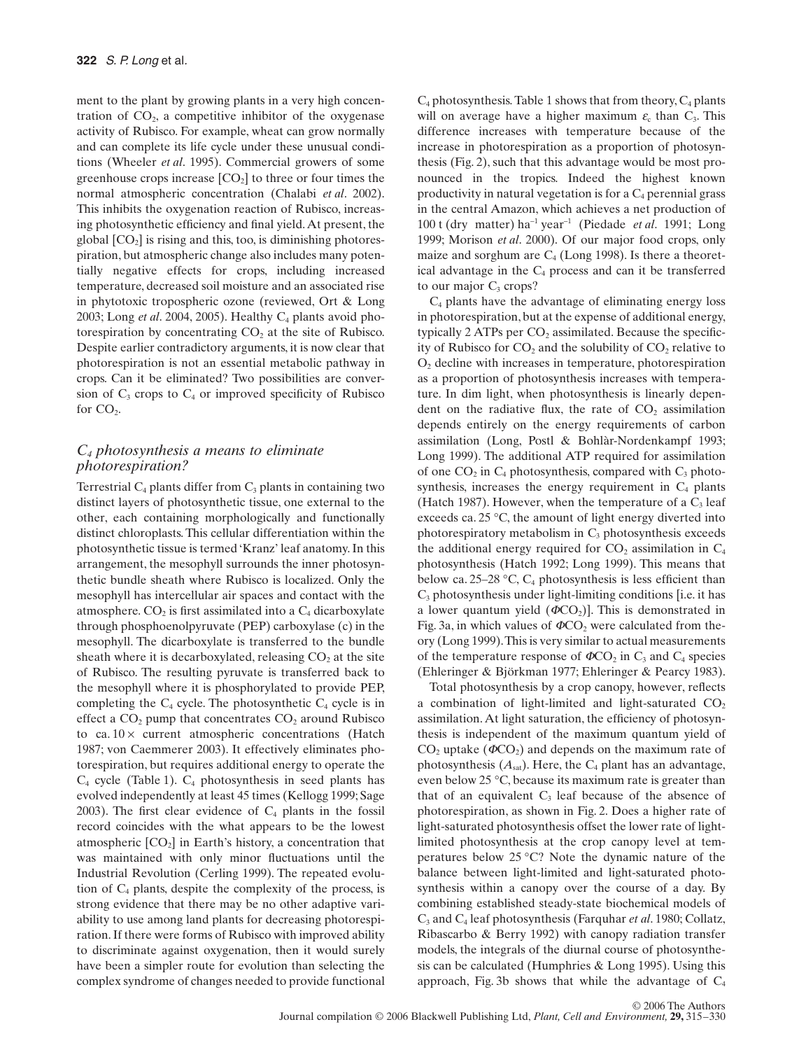ment to the plant by growing plants in a very high concentration of  $CO<sub>2</sub>$ , a competitive inhibitor of the oxygenase activity of Rubisco. For example, wheat can grow normally and can complete its life cycle under these unusual conditions (Wheeler *et al*. 1995). Commercial growers of some greenhouse crops increase  $[CO<sub>2</sub>]$  to three or four times the normal atmospheric concentration (Chalabi *et al*. 2002). This inhibits the oxygenation reaction of Rubisco, increasing photosynthetic efficiency and final yield. At present, the global  $[CO<sub>2</sub>]$  is rising and this, too, is diminishing photorespiration, but atmospheric change also includes many potentially negative effects for crops, including increased temperature, decreased soil moisture and an associated rise in phytotoxic tropospheric ozone (reviewed, Ort & Long 2003; Long *et al.* 2004, 2005). Healthy C<sub>4</sub> plants avoid photorespiration by concentrating  $CO<sub>2</sub>$  at the site of Rubisco. Despite earlier contradictory arguments, it is now clear that photorespiration is not an essential metabolic pathway in crops. Can it be eliminated? Two possibilities are conversion of  $C_3$  crops to  $C_4$  or improved specificity of Rubisco for CO<sub>2</sub>.

# *C4 photosynthesis a means to eliminate photorespiration?*

Terrestrial  $C_4$  plants differ from  $C_3$  plants in containing two distinct layers of photosynthetic tissue, one external to the other, each containing morphologically and functionally distinct chloroplasts. This cellular differentiation within the photosynthetic tissue is termed 'Kranz' leaf anatomy. In this arrangement, the mesophyll surrounds the inner photosynthetic bundle sheath where Rubisco is localized. Only the mesophyll has intercellular air spaces and contact with the atmosphere.  $CO<sub>2</sub>$  is first assimilated into a  $C<sub>4</sub>$  dicarboxylate through phosphoenolpyruvate (PEP) carboxylase (c) in the mesophyll. The dicarboxylate is transferred to the bundle sheath where it is decarboxylated, releasing  $CO<sub>2</sub>$  at the site of Rubisco. The resulting pyruvate is transferred back to the mesophyll where it is phosphorylated to provide PEP, completing the  $C_4$  cycle. The photosynthetic  $C_4$  cycle is in effect a  $CO<sub>2</sub>$  pump that concentrates  $CO<sub>2</sub>$  around Rubisco to ca.  $10 \times$  current atmospheric concentrations (Hatch 1987; von Caemmerer 2003). It effectively eliminates photorespiration, but requires additional energy to operate the  $C_4$  cycle (Table 1).  $C_4$  photosynthesis in seed plants has evolved independently at least 45 times (Kellogg 1999; Sage 2003). The first clear evidence of  $C_4$  plants in the fossil record coincides with the what appears to be the lowest atmospheric  $[CO<sub>2</sub>]$  in Earth's history, a concentration that was maintained with only minor fluctuations until the Industrial Revolution (Cerling 1999). The repeated evolution of  $C_4$  plants, despite the complexity of the process, is strong evidence that there may be no other adaptive variability to use among land plants for decreasing photorespiration. If there were forms of Rubisco with improved ability to discriminate against oxygenation, then it would surely have been a simpler route for evolution than selecting the complex syndrome of changes needed to provide functional  $C_4$  photosynthesis. Table 1 shows that from theory,  $C_4$  plants will on average have a higher maximum  $\varepsilon_c$  than  $C_3$ . This difference increases with temperature because of the increase in photorespiration as a proportion of photosynthesis (Fig. 2), such that this advantage would be most pronounced in the tropics. Indeed the highest known productivity in natural vegetation is for a  $C_4$  perennial grass in the central Amazon, which achieves a net production of 100 t (dry matter) ha<sup>−</sup><sup>1</sup> year<sup>−</sup><sup>1</sup> (Piedade *et al*. 1991; Long 1999; Morison *et al*. 2000). Of our major food crops, only maize and sorghum are  $C_4$  (Long 1998). Is there a theoretical advantage in the  $C_4$  process and can it be transferred to our major  $C_3$  crops?

 $C_4$  plants have the advantage of eliminating energy loss in photorespiration, but at the expense of additional energy, typically 2 ATPs per  $CO<sub>2</sub>$  assimilated. Because the specificity of Rubisco for  $CO<sub>2</sub>$  and the solubility of  $CO<sub>2</sub>$  relative to  $O<sub>2</sub>$  decline with increases in temperature, photorespiration as a proportion of photosynthesis increases with temperature. In dim light, when photosynthesis is linearly dependent on the radiative flux, the rate of  $CO<sub>2</sub>$  assimilation depends entirely on the energy requirements of carbon assimilation (Long, Postl & Bohlàr-Nordenkampf 1993; Long 1999). The additional ATP required for assimilation of one  $CO_2$  in  $C_4$  photosynthesis, compared with  $C_3$  photosynthesis, increases the energy requirement in  $C_4$  plants (Hatch 1987). However, when the temperature of a  $C_3$  leaf exceeds ca. 25 °C, the amount of light energy diverted into photorespiratory metabolism in  $C_3$  photosynthesis exceeds the additional energy required for  $CO<sub>2</sub>$  assimilation in  $C<sub>4</sub>$ photosynthesis (Hatch 1992; Long 1999). This means that below ca. 25–28 °C,  $C_4$  photosynthesis is less efficient than  $C_3$  photosynthesis under light-limiting conditions [i.e. it has a lower quantum yield  $(\Phi CO_2)$ ]. This is demonstrated in Fig. 3a, in which values of  $\Phi\text{CO}_2$  were calculated from theory (Long 1999). This is very similar to actual measurements of the temperature response of  $\Phi CO_2$  in  $C_3$  and  $C_4$  species (Ehleringer & Björkman 1977; Ehleringer & Pearcy 1983).

Total photosynthesis by a crop canopy, however, reflects a combination of light-limited and light-saturated  $CO<sub>2</sub>$ assimilation. At light saturation, the efficiency of photosynthesis is independent of the maximum quantum yield of  $CO<sub>2</sub>$  uptake ( $\phi CO<sub>2</sub>$ ) and depends on the maximum rate of photosynthesis  $(A<sub>sat</sub>)$ . Here, the  $C<sub>4</sub>$  plant has an advantage, even below 25 °C, because its maximum rate is greater than that of an equivalent  $C_3$  leaf because of the absence of photorespiration, as shown in Fig. 2. Does a higher rate of light-saturated photosynthesis offset the lower rate of lightlimited photosynthesis at the crop canopy level at temperatures below 25 °C? Note the dynamic nature of the balance between light-limited and light-saturated photosynthesis within a canopy over the course of a day. By combining established steady-state biochemical models of C3 and C4 leaf photosynthesis (Farquhar *et al*. 1980; Collatz, Ribascarbo & Berry 1992) with canopy radiation transfer models, the integrals of the diurnal course of photosynthesis can be calculated (Humphries & Long 1995). Using this approach, Fig. 3b shows that while the advantage of  $C_4$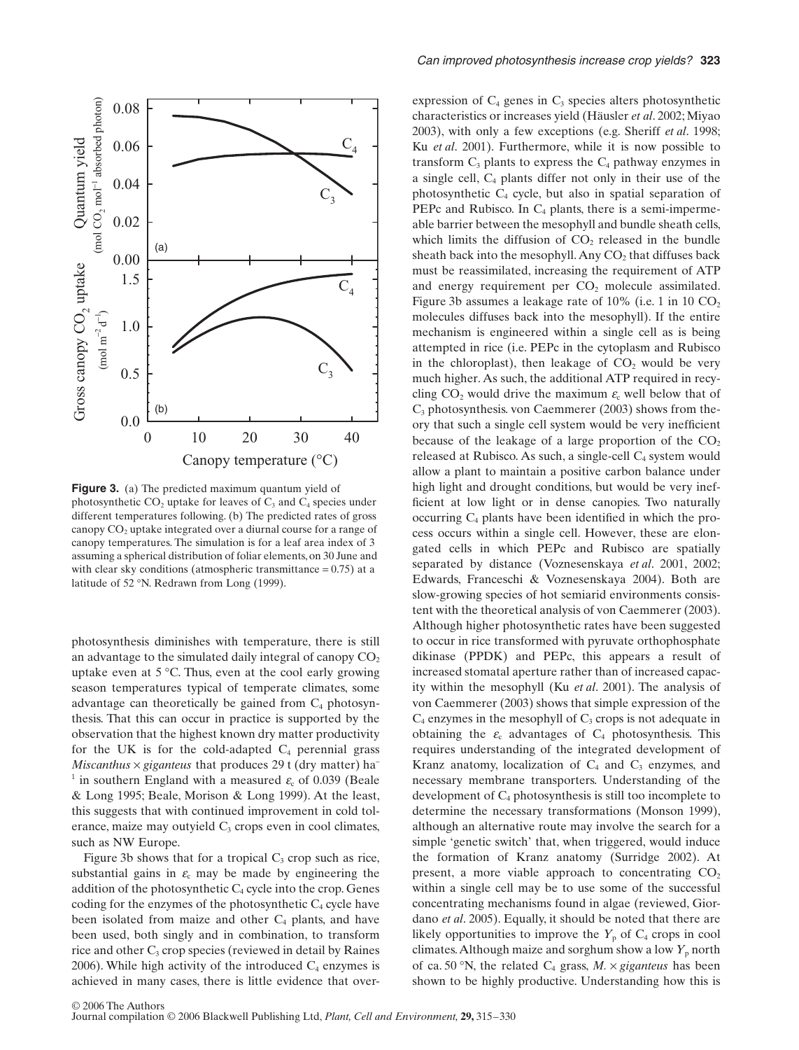

**Figure 3.** (a) The predicted maximum quantum yield of photosynthetic CO<sub>2</sub> uptake for leaves of  $C_3$  and  $C_4$  species under different temperatures following. (b) The predicted rates of gross canopy  $CO<sub>2</sub>$  uptake integrated over a diurnal course for a range of canopy temperatures. The simulation is for a leaf area index of 3 assuming a spherical distribution of foliar elements, on 30 June and with clear sky conditions (atmospheric transmittance  $= 0.75$ ) at a

photosynthesis diminishes with temperature, there is still an advantage to the simulated daily integral of canopy  $CO<sub>2</sub>$ uptake even at 5 °C. Thus, even at the cool early growing season temperatures typical of temperate climates, some advantage can theoretically be gained from  $C_4$  photosynthesis. That this can occur in practice is supported by the observation that the highest known dry matter productivity for the UK is for the cold-adapted  $C_4$  perennial grass *Miscanthus* × *giganteus* that produces 29 t (dry matter) ha<sup>−</sup> <sup>1</sup> in southern England with a measured  $\varepsilon_c$  of 0.039 (Beale & Long 1995; Beale, Morison & Long 1999). At the least, this suggests that with continued improvement in cold tolerance, maize may outyield  $C_3$  crops even in cool climates, such as NW Europe.

Figure 3b shows that for a tropical  $C_3$  crop such as rice, substantial gains in  $\varepsilon_c$  may be made by engineering the addition of the photosynthetic  $C_4$  cycle into the crop. Genes coding for the enzymes of the photosynthetic  $C_4$  cycle have been isolated from maize and other  $C_4$  plants, and have been used, both singly and in combination, to transform rice and other  $C_3$  crop species (reviewed in detail by Raines 2006). While high activity of the introduced  $C_4$  enzymes is achieved in many cases, there is little evidence that overexpression of  $C_4$  genes in  $C_3$  species alters photosynthetic characteristics or increases yield (Häusler *et al*. 2002; Miyao 2003), with only a few exceptions (e.g. Sheriff *et al*. 1998; Ku *et al*. 2001). Furthermore, while it is now possible to transform  $C_3$  plants to express the  $C_4$  pathway enzymes in a single cell,  $C_4$  plants differ not only in their use of the photosynthetic  $C_4$  cycle, but also in spatial separation of PEPc and Rubisco. In  $C_4$  plants, there is a semi-impermeable barrier between the mesophyll and bundle sheath cells, which limits the diffusion of  $CO<sub>2</sub>$  released in the bundle sheath back into the mesophyll. Any  $CO<sub>2</sub>$  that diffuses back must be reassimilated, increasing the requirement of ATP and energy requirement per  $CO<sub>2</sub>$  molecule assimilated. Figure 3b assumes a leakage rate of  $10\%$  (i.e. 1 in 10 CO<sub>2</sub>) molecules diffuses back into the mesophyll). If the entire mechanism is engineered within a single cell as is being attempted in rice (i.e. PEPc in the cytoplasm and Rubisco in the chloroplast), then leakage of  $CO<sub>2</sub>$  would be very much higher. As such, the additional ATP required in recycling  $CO_2$  would drive the maximum  $\varepsilon_c$  well below that of  $C_3$  photosynthesis. von Caemmerer (2003) shows from theory that such a single cell system would be very inefficient because of the leakage of a large proportion of the  $CO<sub>2</sub>$ released at Rubisco. As such, a single-cell  $C_4$  system would allow a plant to maintain a positive carbon balance under high light and drought conditions, but would be very inefficient at low light or in dense canopies. Two naturally occurring  $C_4$  plants have been identified in which the process occurs within a single cell. However, these are elongated cells in which PEPc and Rubisco are spatially separated by distance (Voznesenskaya *et al*. 2001, 2002; Edwards, Franceschi & Voznesenskaya 2004). Both are slow-growing species of hot semiarid environments consistent with the theoretical analysis of von Caemmerer (2003). Although higher photosynthetic rates have been suggested to occur in rice transformed with pyruvate orthophosphate dikinase (PPDK) and PEPc, this appears a result of increased stomatal aperture rather than of increased capacity within the mesophyll (Ku *et al*. 2001). The analysis of von Caemmerer (2003) shows that simple expression of the  $C_4$  enzymes in the mesophyll of  $C_3$  crops is not adequate in obtaining the  $\varepsilon_c$  advantages of  $C_4$  photosynthesis. This requires understanding of the integrated development of Kranz anatomy, localization of  $C_4$  and  $C_3$  enzymes, and necessary membrane transporters. Understanding of the development of C4 photosynthesis is still too incomplete to determine the necessary transformations (Monson 1999), although an alternative route may involve the search for a simple 'genetic switch' that, when triggered, would induce the formation of Kranz anatomy (Surridge 2002). At present, a more viable approach to concentrating  $CO<sub>2</sub>$ within a single cell may be to use some of the successful concentrating mechanisms found in algae (reviewed, Giordano *et al*. 2005). Equally, it should be noted that there are likely opportunities to improve the  $Y_p$  of  $C_4$  crops in cool climates. Although maize and sorghum show a low  $Y_p$  north of ca. 50 °N, the related  $C_4$  grass,  $M \times$  *giganteus* has been shown to be highly productive. Understanding how this is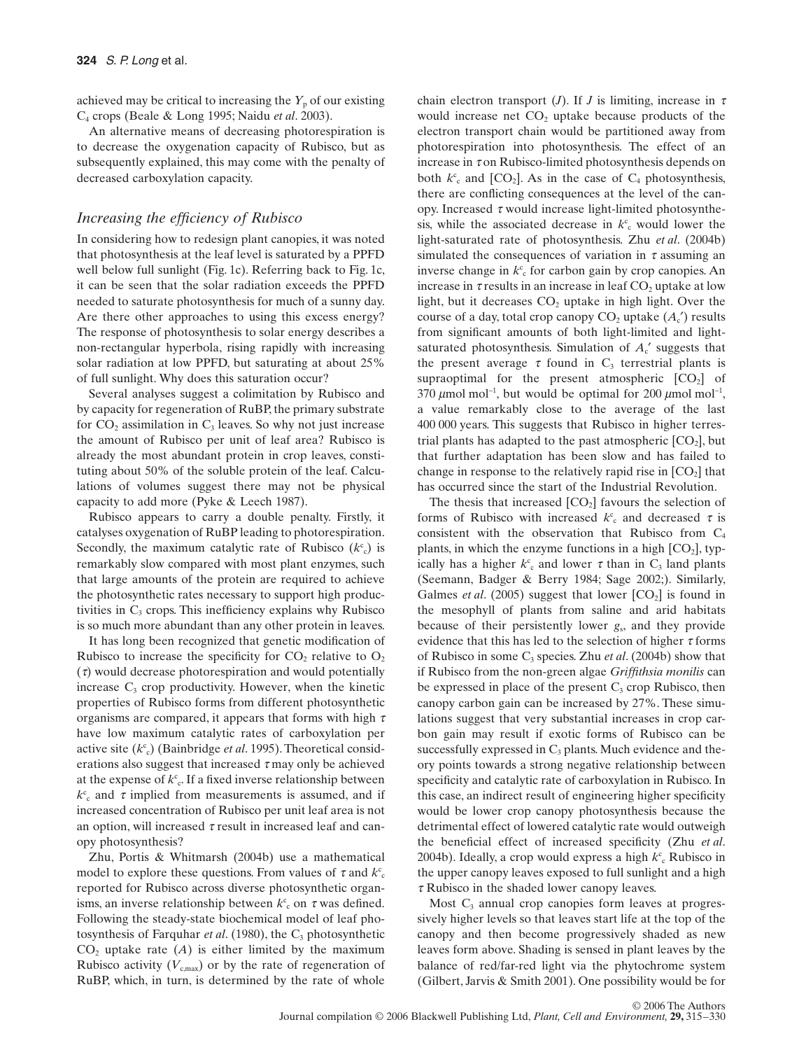achieved may be critical to increasing the  $Y_p$  of our existing C4 crops (Beale & Long 1995; Naidu *et al*. 2003).

An alternative means of decreasing photorespiration is to decrease the oxygenation capacity of Rubisco, but as subsequently explained, this may come with the penalty of decreased carboxylation capacity.

# *Increasing the efficiency of Rubisco*

In considering how to redesign plant canopies, it was noted that photosynthesis at the leaf level is saturated by a PPFD well below full sunlight (Fig. 1c). Referring back to Fig. 1c, it can be seen that the solar radiation exceeds the PPFD needed to saturate photosynthesis for much of a sunny day. Are there other approaches to using this excess energy? The response of photosynthesis to solar energy describes a non-rectangular hyperbola, rising rapidly with increasing solar radiation at low PPFD, but saturating at about 25% of full sunlight. Why does this saturation occur?

Several analyses suggest a colimitation by Rubisco and by capacity for regeneration of RuBP, the primary substrate for  $CO<sub>2</sub>$  assimilation in  $C<sub>3</sub>$  leaves. So why not just increase the amount of Rubisco per unit of leaf area? Rubisco is already the most abundant protein in crop leaves, constituting about 50% of the soluble protein of the leaf. Calculations of volumes suggest there may not be physical capacity to add more (Pyke & Leech 1987).

Rubisco appears to carry a double penalty. Firstly, it catalyses oxygenation of RuBP leading to photorespiration. Secondly, the maximum catalytic rate of Rubisco  $(k<sup>c</sup><sub>c</sub>)$  is remarkably slow compared with most plant enzymes, such that large amounts of the protein are required to achieve the photosynthetic rates necessary to support high productivities in  $C_3$  crops. This inefficiency explains why Rubisco is so much more abundant than any other protein in leaves.

It has long been recognized that genetic modification of Rubisco to increase the specificity for  $CO<sub>2</sub>$  relative to  $O<sub>2</sub>$  $(\tau)$  would decrease photorespiration and would potentially increase  $C_3$  crop productivity. However, when the kinetic properties of Rubisco forms from different photosynthetic organisms are compared, it appears that forms with high  $\tau$ have low maximum catalytic rates of carboxylation per active site ( $k_c$ ) (Bainbridge *et al.* 1995). Theoretical considerations also suggest that increased  $\tau$  may only be achieved at the expense of  $k<sup>c</sup>$ . If a fixed inverse relationship between  $k<sup>c</sup>$ <sub>c</sub> and  $\tau$  implied from measurements is assumed, and if increased concentration of Rubisco per unit leaf area is not an option, will increased  $\tau$  result in increased leaf and canopy photosynthesis?

Zhu, Portis & Whitmarsh (2004b) use a mathematical model to explore these questions. From values of  $\tau$  and  $k_c^{\rm c}$ reported for Rubisco across diverse photosynthetic organisms, an inverse relationship between  $k<sub>c</sub>$  on  $\tau$  was defined. Following the steady-state biochemical model of leaf photosynthesis of Farquhar *et al.* (1980), the  $C_3$  photosynthetic  $CO<sub>2</sub>$  uptake rate  $(A)$  is either limited by the maximum Rubisco activity  $(V_{c,max})$  or by the rate of regeneration of RuBP, which, in turn, is determined by the rate of whole chain electron transport (*J*). If *J* is limiting, increase in  $\tau$ would increase net  $CO<sub>2</sub>$  uptake because products of the electron transport chain would be partitioned away from photorespiration into photosynthesis. The effect of an increase in  $\tau$  on Rubisco-limited photosynthesis depends on both  $k^c$ <sub>c</sub> and [CO<sub>2</sub>]. As in the case of C<sub>4</sub> photosynthesis, there are conflicting consequences at the level of the canopy. Increased <sup>τ</sup> would increase light-limited photosynthesis, while the associated decrease in  $k<sub>c</sub><sup>c</sup>$  would lower the light-saturated rate of photosynthesis. Zhu *et al*. (2004b) simulated the consequences of variation in  $\tau$  assuming an inverse change in  $k^c$ <sub>c</sub> for carbon gain by crop canopies. An increase in  $\tau$  results in an increase in leaf  $CO<sub>2</sub>$  uptake at low light, but it decreases  $CO<sub>2</sub>$  uptake in high light. Over the course of a day, total crop canopy  $CO<sub>2</sub>$  uptake  $(A<sub>c</sub>)$ <sup>r</sup> results from significant amounts of both light-limited and lightsaturated photosynthesis. Simulation of *A*c′ suggests that the present average  $\tau$  found in C<sub>3</sub> terrestrial plants is supraoptimal for the present atmospheric  $[CO<sub>2</sub>]$  of 370  $\mu$ mol mol<sup>-1</sup>, but would be optimal for 200  $\mu$ mol mol<sup>-1</sup>, a value remarkably close to the average of the last 400 000 years. This suggests that Rubisco in higher terrestrial plants has adapted to the past atmospheric  $[CO<sub>2</sub>]$ , but that further adaptation has been slow and has failed to change in response to the relatively rapid rise in  $[CO<sub>2</sub>]$  that has occurred since the start of the Industrial Revolution.

The thesis that increased  $[CO<sub>2</sub>]$  favours the selection of forms of Rubisco with increased  $k<sup>c</sup>$  and decreased  $\tau$  is consistent with the observation that Rubisco from C4 plants, in which the enzyme functions in a high  $[CO<sub>2</sub>]$ , typically has a higher  $k^c$ <sub>c</sub> and lower  $\tau$  than in C<sub>3</sub> land plants (Seemann, Badger & Berry 1984; Sage 2002;). Similarly, Galmes *et al.* (2005) suggest that lower [CO<sub>2</sub>] is found in the mesophyll of plants from saline and arid habitats because of their persistently lower *g<sub>s</sub>*, and they provide evidence that this has led to the selection of higher  $\tau$  forms of Rubisco in some C3 species. Zhu *et al*. (2004b) show that if Rubisco from the non-green algae *Griffithsia monilis* can be expressed in place of the present  $C_3$  crop Rubisco, then canopy carbon gain can be increased by 27%. These simulations suggest that very substantial increases in crop carbon gain may result if exotic forms of Rubisco can be successfully expressed in  $C_3$  plants. Much evidence and theory points towards a strong negative relationship between specificity and catalytic rate of carboxylation in Rubisco. In this case, an indirect result of engineering higher specificity would be lower crop canopy photosynthesis because the detrimental effect of lowered catalytic rate would outweigh the beneficial effect of increased specificity (Zhu *et al*. 2004b). Ideally, a crop would express a high  $k<sup>c</sup>$ <sub>c</sub> Rubisco in the upper canopy leaves exposed to full sunlight and a high  $\tau$  Rubisco in the shaded lower canopy leaves.

Most  $C_3$  annual crop canopies form leaves at progressively higher levels so that leaves start life at the top of the canopy and then become progressively shaded as new leaves form above. Shading is sensed in plant leaves by the balance of red/far-red light via the phytochrome system (Gilbert, Jarvis & Smith 2001). One possibility would be for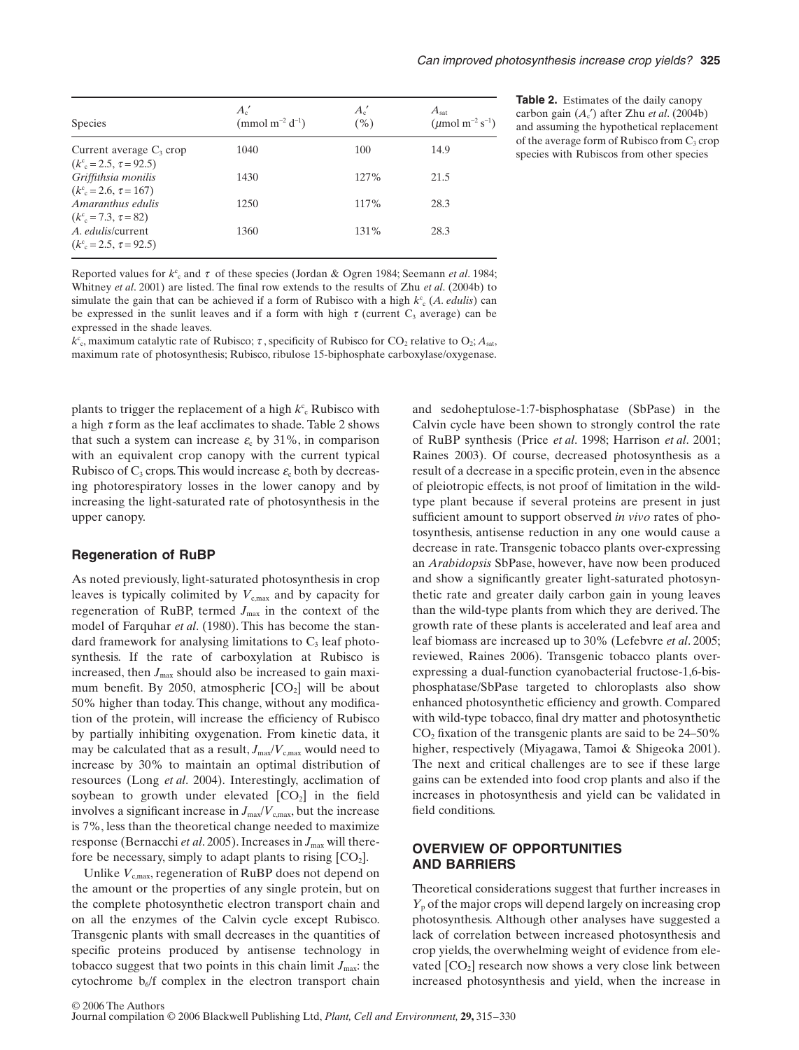| <b>Species</b>                                                         | $A_{c}$<br>(mmol m <sup>-2</sup> d <sup>-1</sup> ) | $A_{c}^{\prime}$<br>( %) | $A_{\text{sat}}$<br>( $\mu$ mol m <sup>-2</sup> s <sup>-1</sup> ) |
|------------------------------------------------------------------------|----------------------------------------------------|--------------------------|-------------------------------------------------------------------|
| Current average $C_3$ crop<br>$(k_{\rm c}^{\rm c} = 2.5, \tau = 92.5)$ | 1040                                               | 100                      | 14.9                                                              |
| Griffithsia monilis<br>$(kcc = 2.6, \tau = 167)$                       | 1430                                               | 127%                     | 21.5                                                              |
| Amaranthus edulis<br>$(k_{\rm c}^{\rm c} = 7.3, \tau = 82)$            | 1250                                               | 117%                     | 28.3                                                              |
| A. <i>edulis</i> /current<br>$(k_{\rm c}^{\rm c} = 2.5, \tau = 92.5)$  | 1360                                               | 131%                     | 28.3                                                              |

Reported values for  $k<sup>c</sup>$ <sub>c</sub> and τ of these species (Jordan & Ogren 1984; Seemann *et al.* 1984; Whitney *et al*. 2001) are listed. The final row extends to the results of Zhu *et al*. (2004b) to simulate the gain that can be achieved if a form of Rubisco with a high  $k<sup>c</sup>_{c}$  (*A. edulis*) can be expressed in the sunlit leaves and if a form with high  $\tau$  (current C<sub>3</sub> average) can be expressed in the shade leaves.

 $k<sup>c</sup>$ <sub>c</sub>, maximum catalytic rate of Rubisco;  $\tau$ , specificity of Rubisco for CO<sub>2</sub> relative to O<sub>2</sub>;  $A<sub>sat</sub>$ , maximum rate of photosynthesis; Rubisco, ribulose 15-biphosphate carboxylase/oxygenase.

plants to trigger the replacement of a high  $k<sup>c</sup>$ <sub>c</sub> Rubisco with a high  $\tau$  form as the leaf acclimates to shade. Table 2 shows that such a system can increase  $\varepsilon_c$  by 31%, in comparison with an equivalent crop canopy with the current typical Rubisco of  $C_3$  crops. This would increase  $\varepsilon_c$  both by decreasing photorespiratory losses in the lower canopy and by increasing the light-saturated rate of photosynthesis in the upper canopy.

#### **Regeneration of RuBP**

As noted previously, light-saturated photosynthesis in crop leaves is typically colimited by  $V_{c,max}$  and by capacity for regeneration of RuBP, termed  $J_{\text{max}}$  in the context of the model of Farquhar *et al*. (1980). This has become the standard framework for analysing limitations to  $C_3$  leaf photosynthesis. If the rate of carboxylation at Rubisco is increased, then  $J_{\text{max}}$  should also be increased to gain maximum benefit. By 2050, atmospheric  $[CO<sub>2</sub>]$  will be about 50% higher than today. This change, without any modification of the protein, will increase the efficiency of Rubisco by partially inhibiting oxygenation. From kinetic data, it may be calculated that as a result,  $J_{\text{max}}/V_{\text{c,max}}$  would need to increase by 30% to maintain an optimal distribution of resources (Long *et al*. 2004). Interestingly, acclimation of soybean to growth under elevated  $[CO<sub>2</sub>]$  in the field involves a significant increase in  $J_{\text{max}}/V_{\text{c,max}}$ , but the increase is 7%, less than the theoretical change needed to maximize response (Bernacchi *et al.* 2005). Increases in  $J_{\text{max}}$  will therefore be necessary, simply to adapt plants to rising  $[CO<sub>2</sub>]$ .

Unlike  $V_{\text{c,max}}$ , regeneration of RuBP does not depend on the amount or the properties of any single protein, but on the complete photosynthetic electron transport chain and on all the enzymes of the Calvin cycle except Rubisco. Transgenic plants with small decreases in the quantities of specific proteins produced by antisense technology in tobacco suggest that two points in this chain limit  $J_{\text{max}}$ : the cytochrome  $b_6$ /f complex in the electron transport chain **Table 2.** Estimates of the daily canopy carbon gain (*A*c′) after Zhu *et al*. (2004b) and assuming the hypothetical replacement of the average form of Rubisco from  $C_3$  crop species with Rubiscos from other species

and sedoheptulose-1:7-bisphosphatase (SbPase) in the Calvin cycle have been shown to strongly control the rate of RuBP synthesis (Price *et al*. 1998; Harrison *et al*. 2001; Raines 2003). Of course, decreased photosynthesis as a result of a decrease in a specific protein, even in the absence of pleiotropic effects, is not proof of limitation in the wildtype plant because if several proteins are present in just sufficient amount to support observed *in vivo* rates of photosynthesis, antisense reduction in any one would cause a decrease in rate. Transgenic tobacco plants over-expressing an *Arabidopsis* SbPase, however, have now been produced and show a significantly greater light-saturated photosynthetic rate and greater daily carbon gain in young leaves than the wild-type plants from which they are derived. The growth rate of these plants is accelerated and leaf area and leaf biomass are increased up to 30% (Lefebvre *et al*. 2005; reviewed, Raines 2006). Transgenic tobacco plants overexpressing a dual-function cyanobacterial fructose-1,6-bisphosphatase/SbPase targeted to chloroplasts also show enhanced photosynthetic efficiency and growth. Compared with wild-type tobacco, final dry matter and photosynthetic  $CO<sub>2</sub>$  fixation of the transgenic plants are said to be  $24-50\%$ higher, respectively (Miyagawa, Tamoi & Shigeoka 2001). The next and critical challenges are to see if these large gains can be extended into food crop plants and also if the increases in photosynthesis and yield can be validated in field conditions.

## **OVERVIEW OF OPPORTUNITIES AND BARRIERS**

Theoretical considerations suggest that further increases in *Y*<sup>p</sup> of the major crops will depend largely on increasing crop photosynthesis. Although other analyses have suggested a lack of correlation between increased photosynthesis and crop yields, the overwhelming weight of evidence from elevated  $[CO<sub>2</sub>]$  research now shows a very close link between increased photosynthesis and yield, when the increase in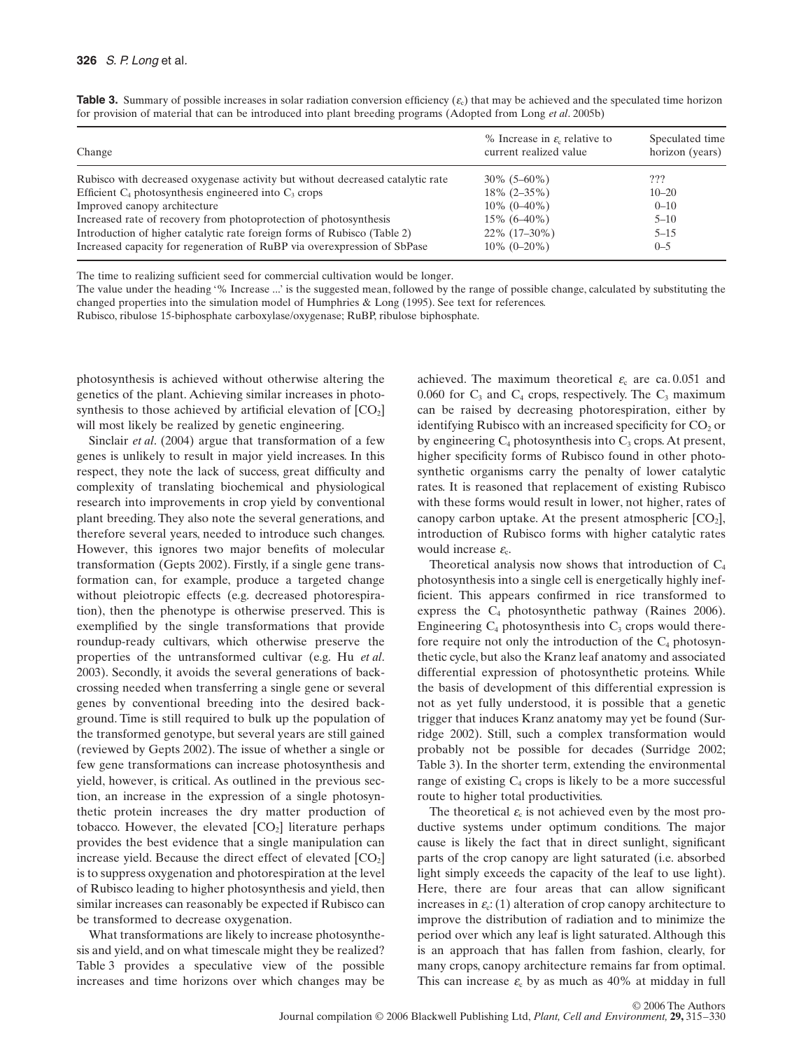| Change                                                                         | % Increase in $\varepsilon$ relative to<br>current realized value | Speculated time<br>horizon (years) |
|--------------------------------------------------------------------------------|-------------------------------------------------------------------|------------------------------------|
| Rubisco with decreased oxygenase activity but without decreased catalytic rate | $30\%$ (5–60%)                                                    | ???                                |
| Efficient $C_4$ photosynthesis engineered into $C_3$ crops                     | $18\%$ (2-35%)                                                    | $10 - 20$                          |
| Improved canopy architecture                                                   | $10\%$ (0-40%)                                                    | $0 - 10$                           |
| Increased rate of recovery from photoprotection of photosynthesis              | $15\%$ (6-40%)                                                    | $5 - 10$                           |
| Introduction of higher catalytic rate foreign forms of Rubisco (Table 2)       | $22\%$ (17-30%)                                                   | $5 - 15$                           |
| Increased capacity for regeneration of RuBP via overexpression of SbPase       | $10\%$ (0-20%)                                                    | $0 - 5$                            |

**Table 3.** Summary of possible increases in solar radiation conversion efficiency  $(\varepsilon_c)$  that may be achieved and the speculated time horizon for provision of material that can be introduced into plant breeding programs (Adopted from Long *et al*. 2005b)

The time to realizing sufficient seed for commercial cultivation would be longer.

The value under the heading '% Increase ...' is the suggested mean, followed by the range of possible change, calculated by substituting the changed properties into the simulation model of Humphries & Long (1995). See text for references.

Rubisco, ribulose 15-biphosphate carboxylase/oxygenase; RuBP, ribulose biphosphate.

photosynthesis is achieved without otherwise altering the genetics of the plant. Achieving similar increases in photosynthesis to those achieved by artificial elevation of  $[CO<sub>2</sub>]$ will most likely be realized by genetic engineering.

Sinclair *et al*. (2004) argue that transformation of a few genes is unlikely to result in major yield increases. In this respect, they note the lack of success, great difficulty and complexity of translating biochemical and physiological research into improvements in crop yield by conventional plant breeding. They also note the several generations, and therefore several years, needed to introduce such changes. However, this ignores two major benefits of molecular transformation (Gepts 2002). Firstly, if a single gene transformation can, for example, produce a targeted change without pleiotropic effects (e.g. decreased photorespiration), then the phenotype is otherwise preserved. This is exemplified by the single transformations that provide roundup-ready cultivars, which otherwise preserve the properties of the untransformed cultivar (e.g. Hu *et al*. 2003). Secondly, it avoids the several generations of backcrossing needed when transferring a single gene or several genes by conventional breeding into the desired background. Time is still required to bulk up the population of the transformed genotype, but several years are still gained (reviewed by Gepts 2002). The issue of whether a single or few gene transformations can increase photosynthesis and yield, however, is critical. As outlined in the previous section, an increase in the expression of a single photosynthetic protein increases the dry matter production of tobacco. However, the elevated  $[CO<sub>2</sub>]$  literature perhaps provides the best evidence that a single manipulation can increase yield. Because the direct effect of elevated  $[CO<sub>2</sub>]$ is to suppress oxygenation and photorespiration at the level of Rubisco leading to higher photosynthesis and yield, then similar increases can reasonably be expected if Rubisco can be transformed to decrease oxygenation.

What transformations are likely to increase photosynthesis and yield, and on what timescale might they be realized? Table 3 provides a speculative view of the possible increases and time horizons over which changes may be achieved. The maximum theoretical  $\varepsilon_c$  are ca. 0.051 and 0.060 for  $C_3$  and  $C_4$  crops, respectively. The  $C_3$  maximum can be raised by decreasing photorespiration, either by identifying Rubisco with an increased specificity for  $CO<sub>2</sub>$  or by engineering  $C_4$  photosynthesis into  $C_3$  crops. At present, higher specificity forms of Rubisco found in other photosynthetic organisms carry the penalty of lower catalytic rates. It is reasoned that replacement of existing Rubisco with these forms would result in lower, not higher, rates of canopy carbon uptake. At the present atmospheric  $[CO<sub>2</sub>]$ , introduction of Rubisco forms with higher catalytic rates would increase  $\varepsilon_c$ .

Theoretical analysis now shows that introduction of  $C_4$ photosynthesis into a single cell is energetically highly inefficient. This appears confirmed in rice transformed to express the  $C_4$  photosynthetic pathway (Raines 2006). Engineering  $C_4$  photosynthesis into  $C_3$  crops would therefore require not only the introduction of the  $C_4$  photosynthetic cycle, but also the Kranz leaf anatomy and associated differential expression of photosynthetic proteins. While the basis of development of this differential expression is not as yet fully understood, it is possible that a genetic trigger that induces Kranz anatomy may yet be found (Surridge 2002). Still, such a complex transformation would probably not be possible for decades (Surridge 2002; Table 3). In the shorter term, extending the environmental range of existing  $C_4$  crops is likely to be a more successful route to higher total productivities.

The theoretical  $\varepsilon_c$  is not achieved even by the most productive systems under optimum conditions. The major cause is likely the fact that in direct sunlight, significant parts of the crop canopy are light saturated (i.e. absorbed light simply exceeds the capacity of the leaf to use light). Here, there are four areas that can allow significant increases in  $\varepsilon_c$ : (1) alteration of crop canopy architecture to improve the distribution of radiation and to minimize the period over which any leaf is light saturated. Although this is an approach that has fallen from fashion, clearly, for many crops, canopy architecture remains far from optimal. This can increase  $\varepsilon_c$  by as much as 40% at midday in full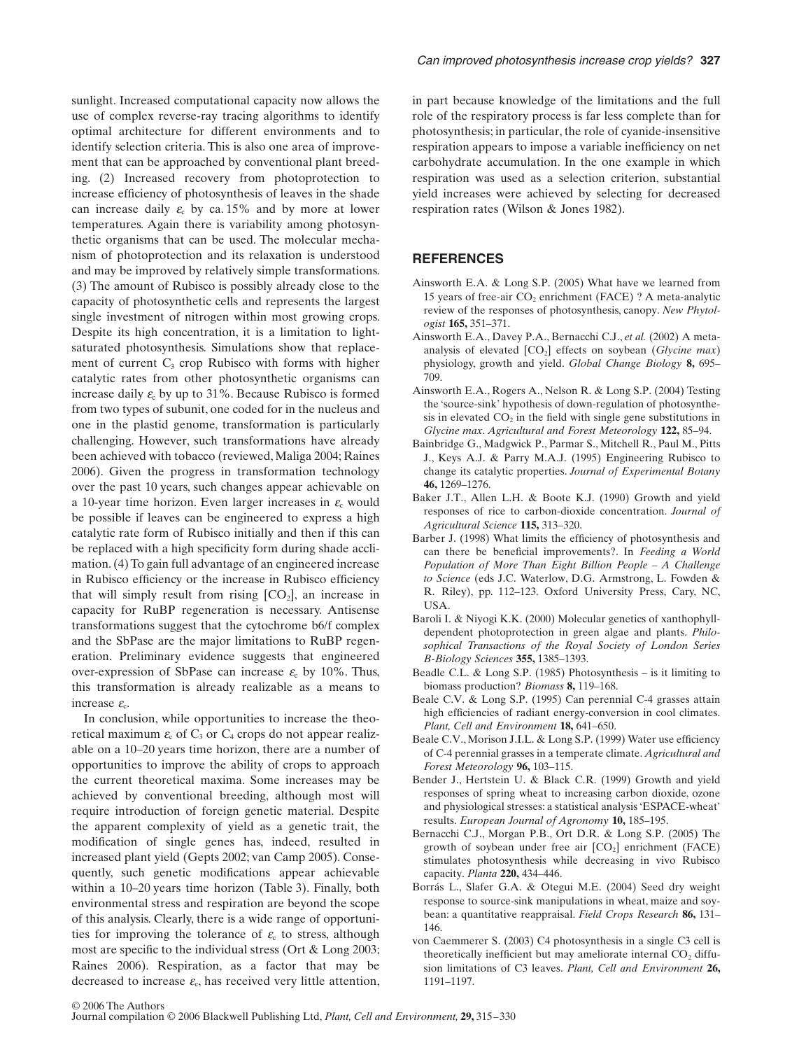sunlight. Increased computational capacity now allows the use of complex reverse-ray tracing algorithms to identify optimal architecture for different environments and to identify selection criteria. This is also one area of improvement that can be approached by conventional plant breeding. (2) Increased recovery from photoprotection to increase efficiency of photosynthesis of leaves in the shade can increase daily  $\varepsilon_c$  by ca. 15% and by more at lower temperatures. Again there is variability among photosynthetic organisms that can be used. The molecular mechanism of photoprotection and its relaxation is understood and may be improved by relatively simple transformations. (3) The amount of Rubisco is possibly already close to the capacity of photosynthetic cells and represents the largest single investment of nitrogen within most growing crops. Despite its high concentration, it is a limitation to lightsaturated photosynthesis. Simulations show that replacement of current  $C_3$  crop Rubisco with forms with higher catalytic rates from other photosynthetic organisms can increase daily  $\varepsilon_c$  by up to 31%. Because Rubisco is formed from two types of subunit, one coded for in the nucleus and one in the plastid genome, transformation is particularly challenging. However, such transformations have already been achieved with tobacco (reviewed, Maliga 2004; Raines 2006). Given the progress in transformation technology over the past 10 years, such changes appear achievable on a 10-year time horizon. Even larger increases in  $\varepsilon_c$  would be possible if leaves can be engineered to express a high catalytic rate form of Rubisco initially and then if this can be replaced with a high specificity form during shade acclimation. (4) To gain full advantage of an engineered increase in Rubisco efficiency or the increase in Rubisco efficiency that will simply result from rising  $[CO<sub>2</sub>]$ , an increase in capacity for RuBP regeneration is necessary. Antisense transformations suggest that the cytochrome b6/f complex and the SbPase are the major limitations to RuBP regeneration. Preliminary evidence suggests that engineered over-expression of SbPase can increase  $\varepsilon_c$  by 10%. Thus, this transformation is already realizable as a means to increase  $\varepsilon_c$ .

In conclusion, while opportunities to increase the theoretical maximum  $\varepsilon_c$  of  $C_3$  or  $C_4$  crops do not appear realizable on a 10–20 years time horizon, there are a number of opportunities to improve the ability of crops to approach the current theoretical maxima. Some increases may be achieved by conventional breeding, although most will require introduction of foreign genetic material. Despite the apparent complexity of yield as a genetic trait, the modification of single genes has, indeed, resulted in increased plant yield (Gepts 2002; van Camp 2005). Consequently, such genetic modifications appear achievable within a 10–20 years time horizon (Table 3). Finally, both environmental stress and respiration are beyond the scope of this analysis. Clearly, there is a wide range of opportunities for improving the tolerance of  $\varepsilon_c$  to stress, although most are specific to the individual stress (Ort & Long 2003; Raines 2006). Respiration, as a factor that may be decreased to increase  $\varepsilon_c$ , has received very little attention,

in part because knowledge of the limitations and the full role of the respiratory process is far less complete than for photosynthesis; in particular, the role of cyanide-insensitive respiration appears to impose a variable inefficiency on net carbohydrate accumulation. In the one example in which respiration was used as a selection criterion, substantial yield increases were achieved by selecting for decreased respiration rates (Wilson & Jones 1982).

#### **REFERENCES**

- Ainsworth E.A. & Long S.P. (2005) What have we learned from 15 years of free-air  $CO<sub>2</sub>$  enrichment (FACE) ? A meta-analytic review of the responses of photosynthesis, canopy. *New Phytologist* **165,** 351–371.
- Ainsworth E.A., Davey P.A., Bernacchi C.J., *et al.* (2002) A metaanalysis of elevated [CO<sub>2</sub>] effects on soybean (*Glycine max*) physiology, growth and yield. *Global Change Biology* **8,** 695– 709.
- Ainsworth E.A., Rogers A., Nelson R. & Long S.P. (2004) Testing the 'source-sink' hypothesis of down-regulation of photosynthesis in elevated  $CO<sub>2</sub>$  in the field with single gene substitutions in *Glycine max*. *Agricultural and Forest Meteorology* **122,** 85–94.
- Bainbridge G., Madgwick P., Parmar S., Mitchell R., Paul M., Pitts J., Keys A.J. & Parry M.A.J. (1995) Engineering Rubisco to change its catalytic properties. *Journal of Experimental Botany* **46,** 1269–1276.
- Baker J.T., Allen L.H. & Boote K.J. (1990) Growth and yield responses of rice to carbon-dioxide concentration. *Journal of Agricultural Science* **115,** 313–320.
- Barber J. (1998) What limits the efficiency of photosynthesis and can there be beneficial improvements?. In *Feeding a World Population of More Than Eight Billion People – A Challenge to Science* (eds J.C. Waterlow, D.G. Armstrong, L. Fowden & R. Riley), pp. 112–123. Oxford University Press, Cary, NC, USA.
- Baroli I. & Niyogi K.K. (2000) Molecular genetics of xanthophylldependent photoprotection in green algae and plants. *Philosophical Transactions of the Royal Society of London Series B-Biology Sciences* **355,** 1385–1393.
- Beadle C.L. & Long S.P. (1985) Photosynthesis is it limiting to biomass production? *Biomass* **8,** 119–168.
- Beale C.V. & Long S.P. (1995) Can perennial C-4 grasses attain high efficiencies of radiant energy-conversion in cool climates. *Plant, Cell and Environment* **18,** 641–650.
- Beale C.V., Morison J.I.L. & Long S.P. (1999) Water use efficiency of C-4 perennial grasses in a temperate climate. *Agricultural and Forest Meteorology* **96,** 103–115.
- Bender J., Hertstein U. & Black C.R. (1999) Growth and yield responses of spring wheat to increasing carbon dioxide, ozone and physiological stresses: a statistical analysis 'ESPACE-wheat' results. *European Journal of Agronomy* **10,** 185–195.
- Bernacchi C.J., Morgan P.B., Ort D.R. & Long S.P. (2005) The growth of soybean under free air  $[CO<sub>2</sub>]$  enrichment (FACE) stimulates photosynthesis while decreasing in vivo Rubisco capacity. *Planta* **220,** 434–446.
- Borrás L., Slafer G.A. & Otegui M.E. (2004) Seed dry weight response to source-sink manipulations in wheat, maize and soybean: a quantitative reappraisal. *Field Crops Research* **86,** 131– 146.
- von Caemmerer S. (2003) C4 photosynthesis in a single C3 cell is theoretically inefficient but may ameliorate internal  $CO<sub>2</sub>$  diffusion limitations of C3 leaves. *Plant, Cell and Environment* **26,** 1191–1197.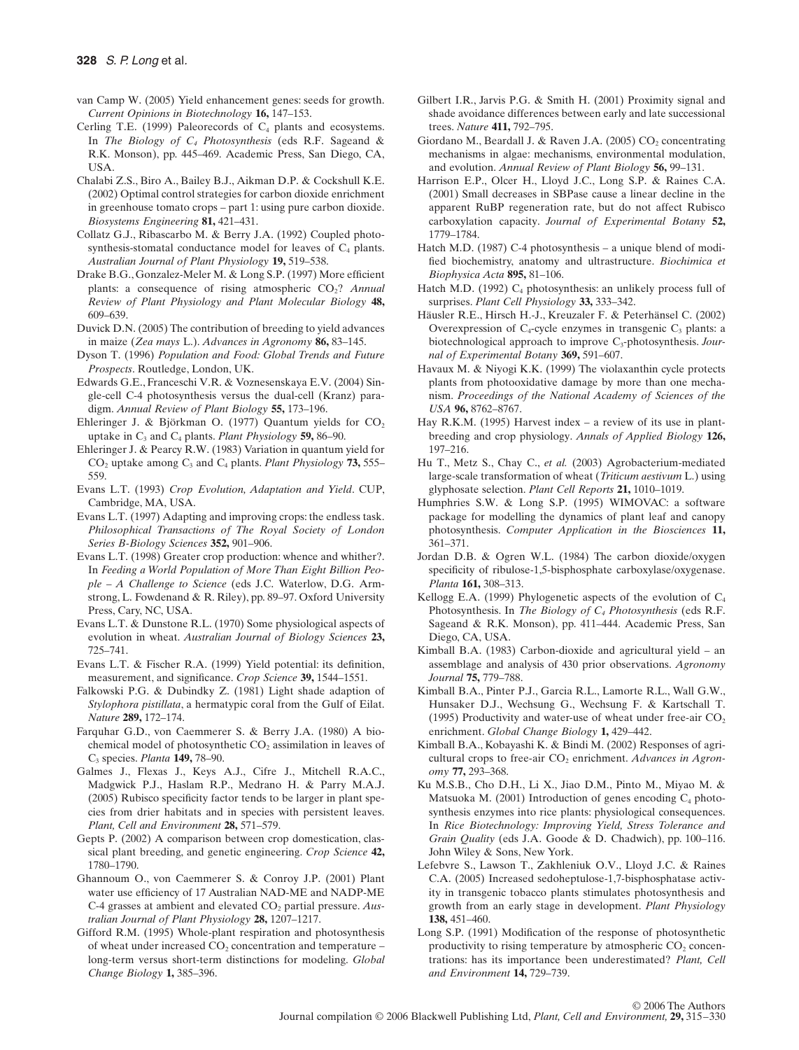- van Camp W. (2005) Yield enhancement genes: seeds for growth. *Current Opinions in Biotechnology* **16,** 147–153.
- Cerling T.E. (1999) Paleorecords of  $C_4$  plants and ecosystems. In *The Biology of C4 Photosynthesis* (eds R.F. Sageand & R.K. Monson), pp. 445–469. Academic Press, San Diego, CA, USA.
- Chalabi Z.S., Biro A., Bailey B.J., Aikman D.P. & Cockshull K.E. (2002) Optimal control strategies for carbon dioxide enrichment in greenhouse tomato crops – part 1: using pure carbon dioxide. *Biosystems Engineering* **81,** 421–431.
- Collatz G.J., Ribascarbo M. & Berry J.A. (1992) Coupled photosynthesis-stomatal conductance model for leaves of  $C_4$  plants. *Australian Journal of Plant Physiology* **19,** 519–538.
- Drake B.G., Gonzalez-Meler M. & Long S.P. (1997) More efficient plants: a consequence of rising atmospheric CO<sub>2</sub>? *Annual Review of Plant Physiology and Plant Molecular Biology* **48,** 609–639.
- Duvick D.N. (2005) The contribution of breeding to yield advances in maize (*Zea mays* L.). *Advances in Agronomy* **86,** 83–145.
- Dyson T. (1996) *Population and Food: Global Trends and Future Prospects*. Routledge, London, UK.
- Edwards G.E., Franceschi V.R. & Voznesenskaya E.V. (2004) Single-cell C-4 photosynthesis versus the dual-cell (Kranz) paradigm. *Annual Review of Plant Biology* **55,** 173–196.
- Ehleringer J. & Björkman O. (1977) Quantum yields for  $CO<sub>2</sub>$ uptake in  $C_3$  and  $C_4$  plants. *Plant Physiology* **59,** 86–90.
- Ehleringer J. & Pearcy R.W. (1983) Variation in quantum yield for CO2 uptake among C3 and C4 plants. *Plant Physiology* **73,** 555– 559.
- Evans L.T. (1993) *Crop Evolution, Adaptation and Yield*. CUP, Cambridge, MA, USA.
- Evans L.T. (1997) Adapting and improving crops: the endless task. *Philosophical Transactions of The Royal Society of London Series B-Biology Sciences* **352,** 901–906.
- Evans L.T. (1998) Greater crop production: whence and whither?. In *Feeding a World Population of More Than Eight Billion People – A Challenge to Science* (eds J.C. Waterlow, D.G. Armstrong, L. Fowdenand & R. Riley), pp. 89–97. Oxford University Press, Cary, NC, USA.
- Evans L.T. & Dunstone R.L. (1970) Some physiological aspects of evolution in wheat. *Australian Journal of Biology Sciences* **23,** 725–741.
- Evans L.T. & Fischer R.A. (1999) Yield potential: its definition, measurement, and significance. *Crop Science* **39,** 1544–1551.
- Falkowski P.G. & Dubindky Z. (1981) Light shade adaption of *Stylophora pistillata*, a hermatypic coral from the Gulf of Eilat. *Nature* **289,** 172–174.
- Farquhar G.D., von Caemmerer S. & Berry J.A. (1980) A biochemical model of photosynthetic  $CO<sub>2</sub>$  assimilation in leaves of C3 species. *Planta* **149,** 78–90.
- Galmes J., Flexas J., Keys A.J., Cifre J., Mitchell R.A.C., Madgwick P.J., Haslam R.P., Medrano H. & Parry M.A.J. (2005) Rubisco specificity factor tends to be larger in plant species from drier habitats and in species with persistent leaves. *Plant, Cell and Environment* **28,** 571–579.
- Gepts P. (2002) A comparison between crop domestication, classical plant breeding, and genetic engineering. *Crop Science* **42,** 1780–1790.
- Ghannoum O., von Caemmerer S. & Conroy J.P. (2001) Plant water use efficiency of 17 Australian NAD-ME and NADP-ME C-4 grasses at ambient and elevated CO<sub>2</sub> partial pressure. Aus*tralian Journal of Plant Physiology* **28,** 1207–1217.
- Gifford R.M. (1995) Whole-plant respiration and photosynthesis of wheat under increased  $CO<sub>2</sub>$  concentration and temperature – long-term versus short-term distinctions for modeling. *Global Change Biology* **1,** 385–396.
- Gilbert I.R., Jarvis P.G. & Smith H. (2001) Proximity signal and shade avoidance differences between early and late successional trees. *Nature* **411,** 792–795.
- Giordano M., Beardall J. & Raven J.A. (2005)  $CO<sub>2</sub>$  concentrating mechanisms in algae: mechanisms, environmental modulation, and evolution. *Annual Review of Plant Biology* **56,** 99–131.
- Harrison E.P., Olcer H., Lloyd J.C., Long S.P. & Raines C.A. (2001) Small decreases in SBPase cause a linear decline in the apparent RuBP regeneration rate, but do not affect Rubisco carboxylation capacity. *Journal of Experimental Botany* **52,** 1779–1784.
- Hatch M.D. (1987) C-4 photosynthesis a unique blend of modified biochemistry, anatomy and ultrastructure. *Biochimica et Biophysica Acta* **895,** 81–106.
- Hatch M.D. (1992)  $C_4$  photosynthesis: an unlikely process full of surprises. *Plant Cell Physiology* **33,** 333–342.
- Häusler R.E., Hirsch H.-J., Kreuzaler F. & Peterhänsel C. (2002) Overexpression of  $C_4$ -cycle enzymes in transgenic  $C_3$  plants: a biotechnological approach to improve C<sub>3</sub>-photosynthesis. *Journal of Experimental Botany* **369,** 591–607.
- Havaux M. & Niyogi K.K. (1999) The violaxanthin cycle protects plants from photooxidative damage by more than one mechanism. *Proceedings of the National Academy of Sciences of the USA* **96,** 8762–8767.
- Hay R.K.M. (1995) Harvest index a review of its use in plantbreeding and crop physiology. *Annals of Applied Biology* **126,** 197–216.
- Hu T., Metz S., Chay C., *et al.* (2003) Agrobacterium-mediated large-scale transformation of wheat (*Triticum aestivum* L.) using glyphosate selection. *Plant Cell Reports* **21,** 1010–1019.
- Humphries S.W. & Long S.P. (1995) WIMOVAC: a software package for modelling the dynamics of plant leaf and canopy photosynthesis. *Computer Application in the Biosciences* **11,** 361–371.
- Jordan D.B. & Ogren W.L. (1984) The carbon dioxide/oxygen specificity of ribulose-1,5-bisphosphate carboxylase/oxygenase. *Planta* **161,** 308–313.
- Kellogg E.A. (1999) Phylogenetic aspects of the evolution of  $C_4$ Photosynthesis. In *The Biology of C4 Photosynthesis* (eds R.F. Sageand & R.K. Monson), pp. 411–444. Academic Press, San Diego, CA, USA.
- Kimball B.A. (1983) Carbon-dioxide and agricultural yield an assemblage and analysis of 430 prior observations. *Agronomy Journal* **75,** 779–788.
- Kimball B.A., Pinter P.J., Garcia R.L., Lamorte R.L., Wall G.W., Hunsaker D.J., Wechsung G., Wechsung F. & Kartschall T. (1995) Productivity and water-use of wheat under free-air  $CO<sub>2</sub>$ enrichment. *Global Change Biology* **1,** 429–442.
- Kimball B.A., Kobayashi K. & Bindi M. (2002) Responses of agricultural crops to free-air CO<sub>2</sub> enrichment. Advances in Agron*omy* **77,** 293–368.
- Ku M.S.B., Cho D.H., Li X., Jiao D.M., Pinto M., Miyao M. & Matsuoka M. (2001) Introduction of genes encoding  $C_4$  photosynthesis enzymes into rice plants: physiological consequences. In *Rice Biotechnology: Improving Yield, Stress Tolerance and Grain Quality* (eds J.A. Goode & D. Chadwich), pp. 100–116. John Wiley & Sons, New York.
- Lefebvre S., Lawson T., Zakhleniuk O.V., Lloyd J.C. & Raines C.A. (2005) Increased sedoheptulose-1,7-bisphosphatase activity in transgenic tobacco plants stimulates photosynthesis and growth from an early stage in development. *Plant Physiology* **138,** 451–460.
- Long S.P. (1991) Modification of the response of photosynthetic productivity to rising temperature by atmospheric  $CO<sub>2</sub>$  concentrations: has its importance been underestimated? *Plant, Cell and Environment* **14,** 729–739.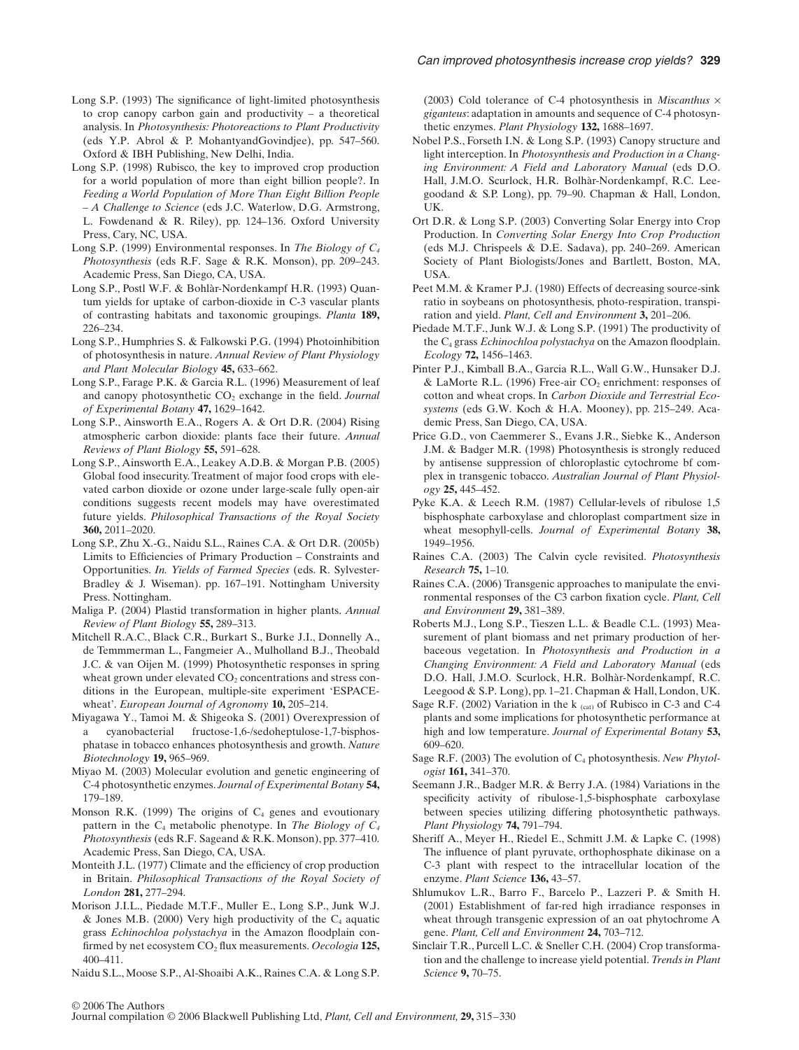- Long S.P. (1993) The significance of light-limited photosynthesis to crop canopy carbon gain and productivity – a theoretical analysis. In *Photosynthesis: Photoreactions to Plant Productivity* (eds Y.P. Abrol & P. MohantyandGovindjee), pp. 547–560. Oxford & IBH Publishing, New Delhi, India.
- Long S.P. (1998) Rubisco, the key to improved crop production for a world population of more than eight billion people?. In *Feeding a World Population of More Than Eight Billion People – A Challenge to Science* (eds J.C. Waterlow, D.G. Armstrong, L. Fowdenand & R. Riley), pp. 124–136. Oxford University Press, Cary, NC, USA.
- Long S.P. (1999) Environmental responses. In *The Biology of C4 Photosynthesis* (eds R.F. Sage & R.K. Monson), pp. 209–243. Academic Press, San Diego, CA, USA.
- Long S.P., Postl W.F. & Bohlàr-Nordenkampf H.R. (1993) Quantum yields for uptake of carbon-dioxide in C-3 vascular plants of contrasting habitats and taxonomic groupings. *Planta* **189,** 226–234.
- Long S.P., Humphries S. & Falkowski P.G. (1994) Photoinhibition of photosynthesis in nature. *Annual Review of Plant Physiology and Plant Molecular Biology* **45,** 633–662.
- Long S.P., Farage P.K. & Garcia R.L. (1996) Measurement of leaf and canopy photosynthetic CO<sub>2</sub> exchange in the field. *Journal of Experimental Botany* **47,** 1629–1642.
- Long S.P., Ainsworth E.A., Rogers A. & Ort D.R. (2004) Rising atmospheric carbon dioxide: plants face their future. *Annual Reviews of Plant Biology* **55,** 591–628.
- Long S.P., Ainsworth E.A., Leakey A.D.B. & Morgan P.B. (2005) Global food insecurity. Treatment of major food crops with elevated carbon dioxide or ozone under large-scale fully open-air conditions suggests recent models may have overestimated future yields. *Philosophical Transactions of the Royal Society* **360,** 2011–2020.
- Long S.P., Zhu X.-G., Naidu S.L., Raines C.A. & Ort D.R. (2005b) Limits to Efficiencies of Primary Production – Constraints and Opportunities. *In. Yields of Farmed Species* (eds. R. Sylvester-Bradley & J. Wiseman). pp. 167–191. Nottingham University Press. Nottingham.
- Maliga P. (2004) Plastid transformation in higher plants. *Annual Review of Plant Biology* **55,** 289–313.
- Mitchell R.A.C., Black C.R., Burkart S., Burke J.I., Donnelly A., de Temmmerman L., Fangmeier A., Mulholland B.J., Theobald J.C. & van Oijen M. (1999) Photosynthetic responses in spring wheat grown under elevated  $CO<sub>2</sub>$  concentrations and stress conditions in the European, multiple-site experiment 'ESPACEwheat'. *European Journal of Agronomy* **10,** 205–214.
- Miyagawa Y., Tamoi M. & Shigeoka S. (2001) Overexpression of a cyanobacterial fructose-1,6-/sedoheptulose-1,7-bisphosphatase in tobacco enhances photosynthesis and growth. *Nature Biotechnology* **19,** 965–969.
- Miyao M. (2003) Molecular evolution and genetic engineering of C-4 photosynthetic enzymes. *Journal of Experimental Botany* **54,** 179–189.
- Monson R.K. (1999) The origins of  $C_4$  genes and evoutionary pattern in the  $C_4$  metabolic phenotype. In *The Biology of*  $C_4$ *Photosynthesis* (eds R.F. Sageand & R.K. Monson), pp. 377–410. Academic Press, San Diego, CA, USA.
- Monteith J.L. (1977) Climate and the efficiency of crop production in Britain. *Philosophical Transactions of the Royal Society of London* **281,** 277–294.
- Morison J.I.L., Piedade M.T.F., Muller E., Long S.P., Junk W.J.  $&$  Jones M.B. (2000) Very high productivity of the  $C_4$  aquatic grass *Echinochloa polystachya* in the Amazon floodplain confirmed by net ecosystem CO2 flux measurements. *Oecologia* **125,** 400–411.
- Naidu S.L., Moose S.P., Al-Shoaibi A.K., Raines C.A. & Long S.P.

(2003) Cold tolerance of C-4 photosynthesis in *Miscanthus* × *giganteus*: adaptation in amounts and sequence of C-4 photosynthetic enzymes. *Plant Physiology* **132,** 1688–1697.

- Nobel P.S., Forseth I.N. & Long S.P. (1993) Canopy structure and light interception. In *Photosynthesis and Production in a Changing Environment: A Field and Laboratory Manual* (eds D.O. Hall, J.M.O. Scurlock, H.R. Bolhàr-Nordenkampf, R.C. Leegoodand & S.P. Long), pp. 79–90. Chapman & Hall, London, UK.
- Ort D.R. & Long S.P. (2003) Converting Solar Energy into Crop Production. In *Converting Solar Energy Into Crop Production* (eds M.J. Chrispeels & D.E. Sadava), pp. 240–269. American Society of Plant Biologists/Jones and Bartlett, Boston, MA, USA.
- Peet M.M. & Kramer P.J. (1980) Effects of decreasing source-sink ratio in soybeans on photosynthesis, photo-respiration, transpiration and yield. *Plant, Cell and Environment* **3,** 201–206.
- Piedade M.T.F., Junk W.J. & Long S.P. (1991) The productivity of the C4 grass *Echinochloa polystachya* on the Amazon floodplain. *Ecology* **72,** 1456–1463.
- Pinter P.J., Kimball B.A., Garcia R.L., Wall G.W., Hunsaker D.J. & LaMorte R.L. (1996) Free-air  $CO<sub>2</sub>$  enrichment: responses of cotton and wheat crops. In *Carbon Dioxide and Terrestrial Ecosystems* (eds G.W. Koch & H.A. Mooney), pp. 215–249. Academic Press, San Diego, CA, USA.
- Price G.D., von Caemmerer S., Evans J.R., Siebke K., Anderson J.M. & Badger M.R. (1998) Photosynthesis is strongly reduced by antisense suppression of chloroplastic cytochrome bf complex in transgenic tobacco. *Australian Journal of Plant Physiology* **25,** 445–452.
- Pyke K.A. & Leech R.M. (1987) Cellular-levels of ribulose 1,5 bisphosphate carboxylase and chloroplast compartment size in wheat mesophyll-cells. *Journal of Experimental Botany* **38,** 1949–1956.
- Raines C.A. (2003) The Calvin cycle revisited. *Photosynthesis Research* **75,** 1–10.
- Raines C.A. (2006) Transgenic approaches to manipulate the environmental responses of the C3 carbon fixation cycle. *Plant, Cell and Environment* **29,** 381–389.
- Roberts M.J., Long S.P., Tieszen L.L. & Beadle C.L. (1993) Measurement of plant biomass and net primary production of herbaceous vegetation. In *Photosynthesis and Production in a Changing Environment: A Field and Laboratory Manual* (eds D.O. Hall, J.M.O. Scurlock, H.R. Bolhàr-Nordenkampf, R.C. Leegood & S.P. Long), pp. 1–21. Chapman & Hall, London, UK.
- Sage R.F. (2002) Variation in the k  $_{\text{(cat)}}$  of Rubisco in C-3 and C-4 plants and some implications for photosynthetic performance at high and low temperature. *Journal of Experimental Botany* **53,** 609–620.
- Sage R.F. (2003) The evolution of C<sub>4</sub> photosynthesis. *New Phytologist* **161,** 341–370.
- Seemann J.R., Badger M.R. & Berry J.A. (1984) Variations in the specificity activity of ribulose-1,5-bisphosphate carboxylase between species utilizing differing photosynthetic pathways. *Plant Physiology* **74,** 791–794.
- Sheriff A., Meyer H., Riedel E., Schmitt J.M. & Lapke C. (1998) The influence of plant pyruvate, orthophosphate dikinase on a C-3 plant with respect to the intracellular location of the enzyme. *Plant Science* **136,** 43–57.
- Shlumukov L.R., Barro F., Barcelo P., Lazzeri P. & Smith H. (2001) Establishment of far-red high irradiance responses in wheat through transgenic expression of an oat phytochrome A gene. *Plant, Cell and Environment* **24,** 703–712.
- Sinclair T.R., Purcell L.C. & Sneller C.H. (2004) Crop transformation and the challenge to increase yield potential. *Trends in Plant Science* **9,** 70–75.